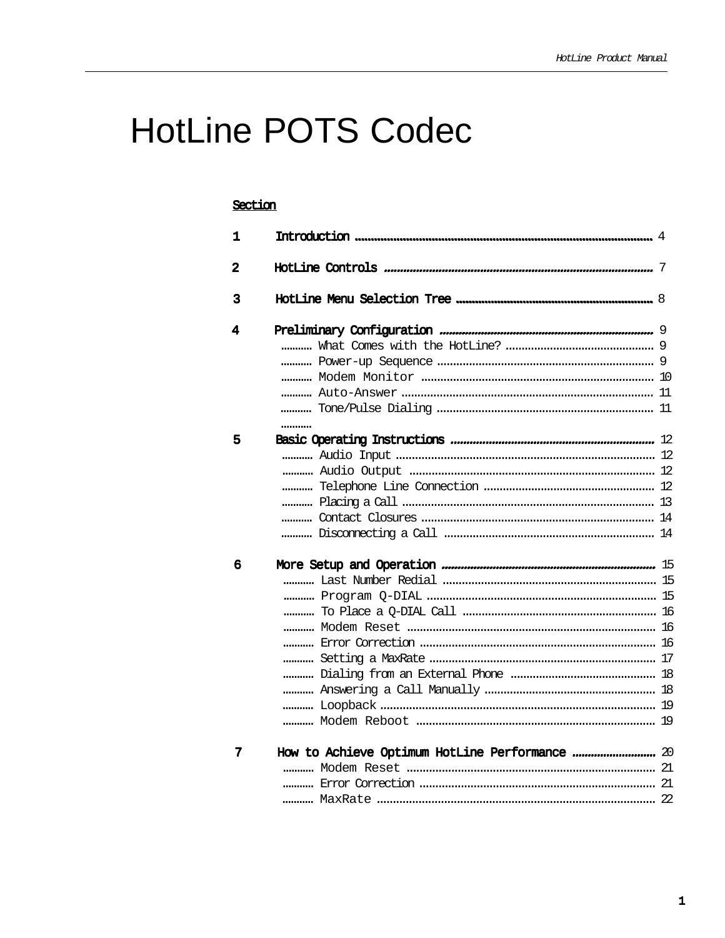# **HotLine POTS Codec**

#### Section

| 1                       |  |
|-------------------------|--|
| $\overline{\mathbf{2}}$ |  |
| 3                       |  |
| 4                       |  |
|                         |  |
|                         |  |
|                         |  |
|                         |  |
|                         |  |
|                         |  |
| 5                       |  |
|                         |  |
|                         |  |
|                         |  |
|                         |  |
|                         |  |
|                         |  |
| 6                       |  |
|                         |  |
|                         |  |
|                         |  |
|                         |  |
|                         |  |
|                         |  |
|                         |  |
|                         |  |
|                         |  |
|                         |  |
| 7                       |  |
|                         |  |
|                         |  |
|                         |  |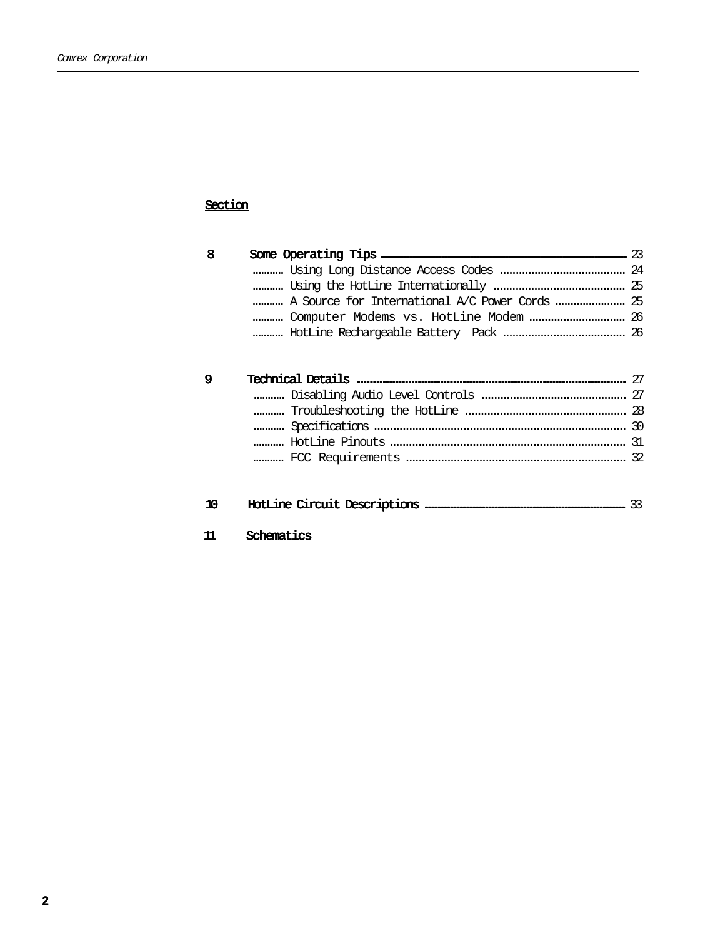### Section

| 8 |                                                | 23 |
|---|------------------------------------------------|----|
|   |                                                |    |
|   |                                                |    |
|   | A Source for International A/C Power Cords  25 |    |
|   | Computer Modems vs. HotLine Modem  26          |    |
|   |                                                |    |
|   |                                                |    |
|   |                                                |    |
| 9 |                                                |    |
|   |                                                |    |
|   |                                                |    |
|   |                                                |    |
|   |                                                |    |

| 10 |  |  |  |  |
|----|--|--|--|--|
|----|--|--|--|--|

Schematics  $11$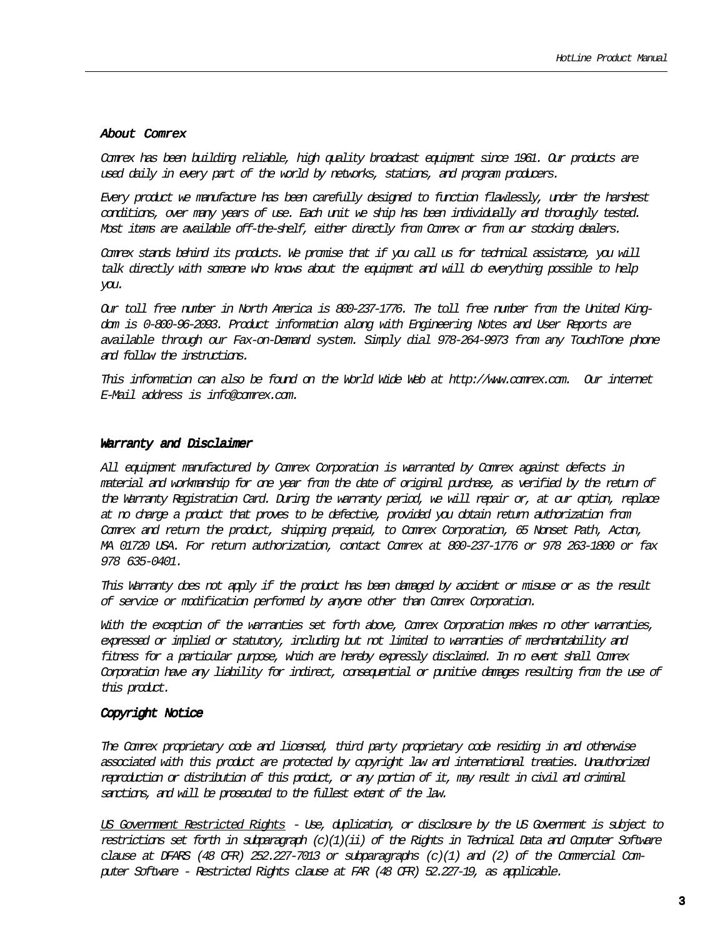#### About Comrex

Comrex has been building reliable, high quality broadcast equipment since 1961. Our products are used daily in every part of the world by networks, stations, and program producers.

Every product we manufacture has been carefully designed to function flawlessly, under the harshest conditions, over many years of use. Each unit we ship has been individually and thoroughly tested. Most items are available off-the-shelf, either directly from Comrex or from our stocking dealers.

Comrex stands behind its products. We promise that if you call us for technical assistance, you will talk directly with someone who knows about the equipment and will do everything possible to help you.

Our toll free number in North America is 800-237-1776. The toll free number from the United Kingdom is 0-800-96-2093. Product information along with Engineering Notes and User Reports are available through our Fax-on-Demand system. Simply dial 978-264-9973 from any TouchTone phone and follow the instructions.

This information can also be found on the World Wide Web at http://www.comrex.com. Our internet E-Mail address is info@comrex.com.

#### Warranty and Disclaimer

All equipment manufactured by Comrex Corporation is warranted by Comrex against defects in material and workmanship for one year from the date of original purchase, as verified by the return of the Warranty Registration Card. During the warranty period, we will repair or, at our option, replace at no charge a product that proves to be defective, provided you obtain return authorization from Comrex and return the product, shipping prepaid, to Comrex Corporation, 65 Nonset Path, Acton, MA 01720 USA. For return authorization, contact Comrex at 800-237-1776 or 978 263-1800 or fax 978 635-0401.

This Warranty does not apply if the product has been damaged by accident or misuse or as the result of service or modification performed by anyone other than Comrex Corporation.

With the exception of the warranties set forth above, Conrex Corporation makes no other warranties, expressed or implied or statutory, including but not limited to warranties of merchantability and fitness for a particular purpose, which are hereby expressly disclaimed. In no event shall Comrex Corporation have any liability for indirect, consequential or punitive damages resulting from the use of this product.

#### Copyright Notice

The Comrex proprietary code and licensed, third party proprietary code residing in and otherwise associated with this product are protected by copyright law and international treaties. Unauthorized reproduction or distribution of this product, or any portion of it, may result in civil and criminal sanctions, and will be prosecuted to the fullest extent of the law.

US Government Restricted Rights - Use, duplication, or disclosure by the US Government is subject to restrictions set forth in subparagraph  $(c)(1)(ii)$  of the Rights in Technical Data and Computer Software clause at DFARS (48 CFR) 252.227-7013 or subparagraphs  $(c)(1)$  and (2) of the Commercial Computer Software - Restricted Rights clause at FAR (48 CFR) 52.227-19, as applicable.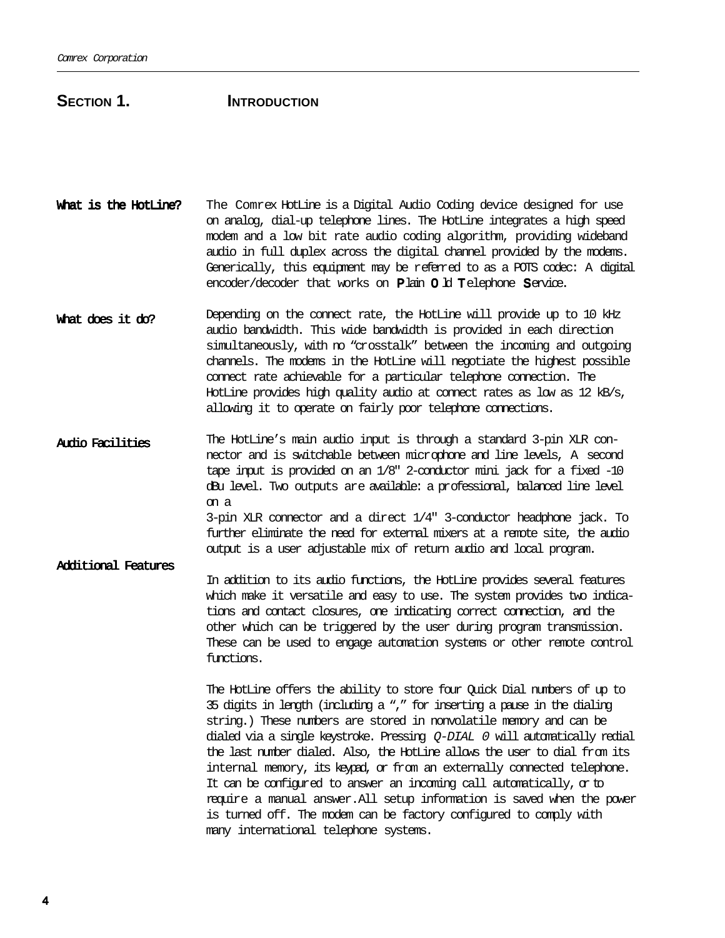### SECTION 1. **INTRODUCTION**

- What is the HotLine? The Comrex HotLine is a Digital Audio Coding device designed for use on analog, dial-up telephone lines. The HotLine integrates a high speed modem and a low bit rate audio coding algorithm, providing wideband audio in full duplex across the digital channel provided by the modems. Generically, this equipment may be referred to as a POTS codec: A digital encoder/decoder that works on  $P$  lain  $O$   $H$  Telephone Service.
- What does it do? Depending on the connect rate, the HotLine will provide up to 10 kHz audio bandwidth. This wide bandwidth is provided in each direction simultaneously, with no "crosstalk" between the incoming and outgoing channels. The modems in the HotLine will negotiate the highest possible connect rate achievable for a particular telephone connection. The HotLine provides high quality audio at connect rates as low as 12 kB/s, allowing it to operate on fairly poor telephone connections.
- Audio Facilities The HotLine's main audio input is through a standard 3-pin XLR connector and is switchable between microphone and line levels, A second tape input is provided on an 1/8" 2-conductor mini jack for a fixed -10 dBu level. Two outputs are available: a professional, balanced line level on a 3-pin XLR connector and a direct 1/4" 3-conductor headphone jack. To further eliminate the need for external mixers at a remote site, the audio output is a user adjustable mix of return audio and local program.

Additional Features In addition to its audio functions, the HotLine provides several features which make it versatile and easy to use. The system provides two indications and contact closures, one indicating correct connection, and the other which can be triggered by the user during program transmission. These can be used to engage automation systems or other remote control functions.

> The HotLine offers the ability to store four Quick Dial numbers of up to 35 digits in length (including a "," for inserting a pause in the dialing string.) These numbers are stored in nonvolatile memory and can be dialed via a single keystroke. Pressing  $Q$ -DIAL  $\theta$  will automatically redial the last number dialed. Also, the HotLine allows the user to dial from its internal memory, its keypad, or from an externally connected telephone. It can be configured to answer an incoming call automatically,  $\alpha$  to require a manual answer. All setup information is saved when the power is turned off. The modem can be factory configured to comply with many international telephone systems.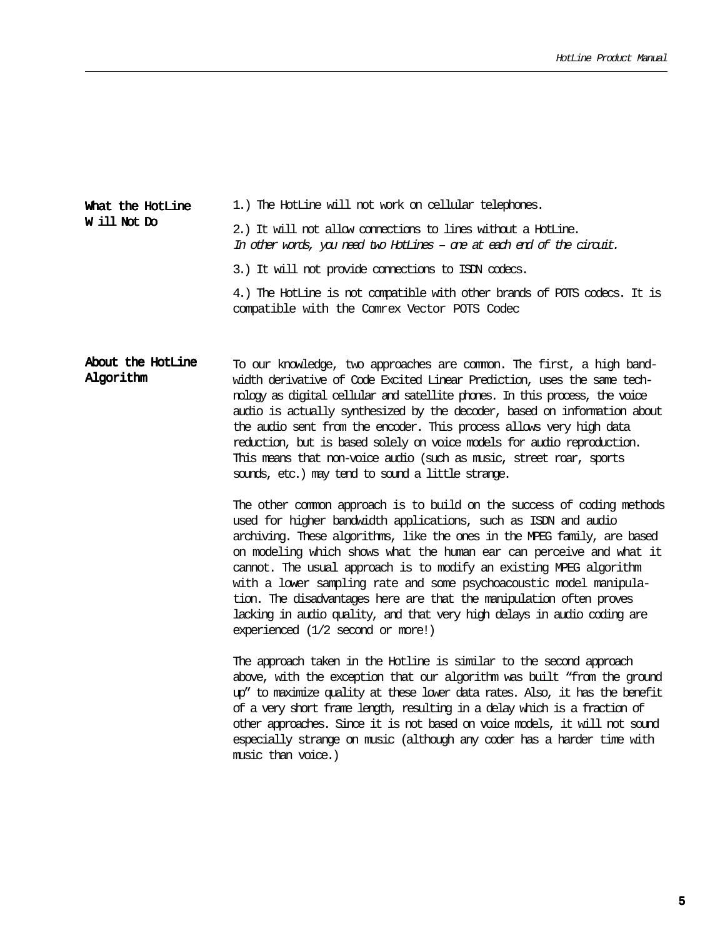#### 1.) The HotLine will not work on cellular telephones. 2.) It will not allow connections to lines without a HotLine. In other words, you need two HotLines – one at each end of the circuit. What the HotLine W ill Not Do

3.) It will not provide connections to ISDN codecs.

4.) The HotLine is not compatible with other brands of POTS codecs. It is compatible with the Comrex Vector POTS Codec

#### To our knowledge, two approaches are common. The first, a high bandwidth derivative of Code Excited Linear Prediction, uses the same technology as digital cellular and satellite phones. In this process, the voice audio is actually synthesized by the decoder, based on information about the audio sent from the encoder. This process allows very high data reduction, but is based solely on voice models for audio reproduction. This means that non-voice audio (such as music, street roar, sports sounds, etc.) may tend to sound a little strange. About the HotLine Algorithm

The other common approach is to build on the success of coding methods used for higher bandwidth applications, such as ISDN and audio archiving. These algorithms, like the ones in the MPEG family, are based on modeling which shows what the human ear can perceive and what it cannot. The usual approach is to modify an existing MPEG algorithm with a lower sampling rate and some psychoacoustic model manipulation. The disadvantages here are that the manipulation often proves lacking in audio quality, and that very high delays in audio coding are experienced (1/2 second or more!)

The approach taken in the Hotline is similar to the second approach above, with the exception that our algorithm was built "from the ground up" to maximize quality at these lower data rates. Also, it has the benefit of a very short frame length, resulting in a delay which is a fraction of other approaches. Since it is not based on voice models, it will not sound especially strange on music (although any coder has a harder time with music than voice.)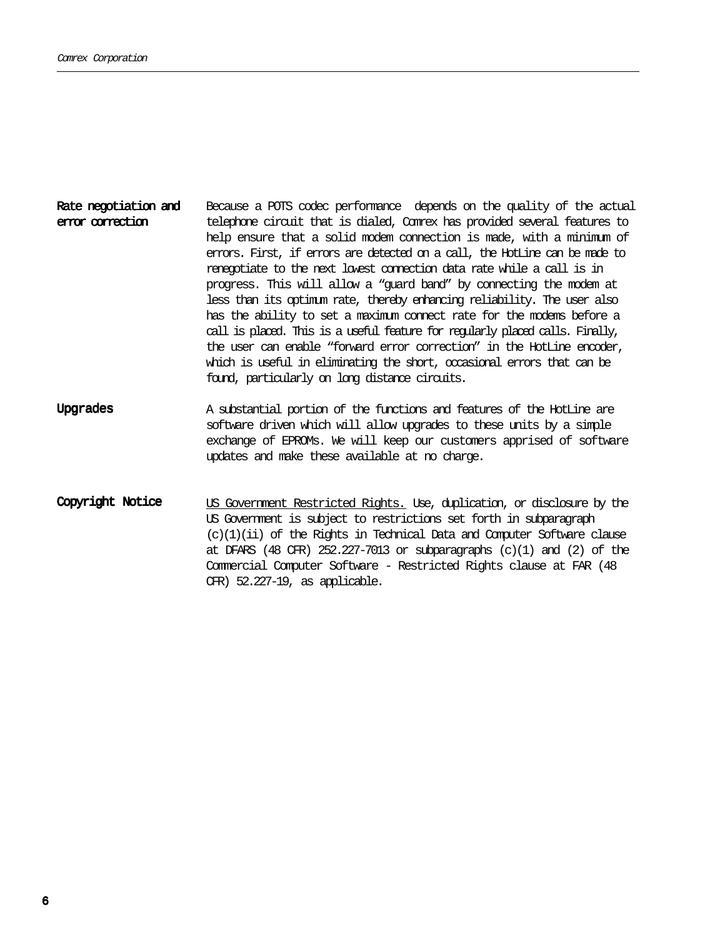#### Because a POTS codec performance depends on the quality of the actual telephone circuit that is dialed, Comrex has provided several features to help ensure that a solid modem connection is made, with a minimum of errors. First, if errors are detected on a call, the HotLine can be made to renegotiate to the next lowest connection data rate while a call is in progress. This will allow a "guard band" by connecting the modem at less than its optimum rate, thereby enhancing reliability. The user also has the ability to set a maximum connect rate for the modems before a call is placed. This is a useful feature for regularly placed calls. Finally, the user can enable "forward error correction" in the HotLine encoder, which is useful in eliminating the short, occasional errors that can be found, particularly on long distance circuits. Rate negotiation and error correction

- A substantial portion of the functions and features of the HotLine are software driven which will allow upgrades to these units by a simple exchange of EPROMs. We will keep our customers apprised of software updates and make these available at no charge. Upgrades
- US Government Restricted Rights. Use, duplication, or disclosure by the US Government is subject to restrictions set forth in subparagraph  $(c)(1)(ii)$  of the Rights in Technical Data and Computer Software clause at DFARS (48 CFR)  $252.227-7013$  or subparagraphs  $(c)(1)$  and  $(2)$  of the Commercial Computer Software - Restricted Rights clause at FAR (48 CFR) 52.227-19, as applicable. Copyright Notice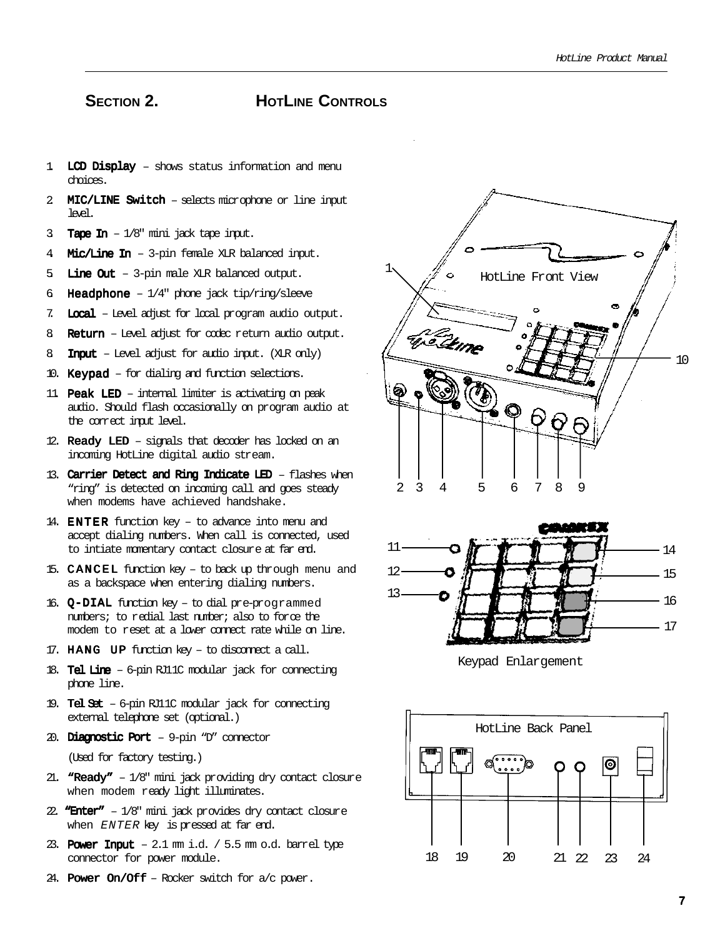### SECTION 2. **HOTLINE CONTROLS**

- 1. LCD Display shows status information and menu choices.
- 2. MIC/LINE Switch selects microphone or line input  $len.$
- 3 **Tape In**  $-1/8$ " mini jack tape input.
- 4 **Mic/Line In**  $-$  3-pin female XLR balanced input.
- 5 Line Out  $-$  3-pin male XLR balanced output.
- 6. Headphone  $1/4$ " phone jack tip/ring/sleeve
- 7. Local Level adjust for local program audio output.
- 8. Return Level adjust for codec return audio output.
- 8. **Input** Level adjust for audio input. (XLR only)
- 10. Keypad  $-$  for dialing and function selections.
- 11. **Peak LED** internal limiter is activating on peak audio. Should flash occasionally on program audio at the correct input level.
- 12. **Ready LED** signals that decoder has locked on an incoming HotLine digital audio stream.
- 13. Carrier Detect and Ring Indicate LED  $-$  flashes when "ring" is detected on incoming call and goes steady when modems have achieved handshake.
- 14. **ENTER** function key to advance into menu and accept dialing numbers. When call is connected, used to intiate momentary contact closure at far end.
- 15. CANCEL function key to back up through menu and as a backspace when entering dialing numbers.
- 16.  $Q-DIAL$  function key to dial pre-programmed numbers; to redial last number; also to force the modem to reset at a lower connect rate while on line.
- 17. HANG UP function key to disconnect a call.
- 18. Tel Line  $-6$ -pin RJ11C modular jack for connecting phone line.
- 19. Tel Set  $-6$ -pin RJ11C modular jack for connecting external telephone set (optional.)
- 20. Diagnostic Port  $-9$ -pin "D" connector

(Used for factory testing.)

- 21. "Ready"  $-1/8$ " mini jack providing dry contact closure when modem ready light illuminates.
- 22. "Enter"  $-1/8$ " mini jack provides dry contact closure when ENTER key is pressed at far end.
- 23. Power Input  $2.1$  mm i.d. /  $5.5$  mm o.d. barrel type connector for power module.
- 24. Power  $On/Off$  Rocker switch for  $a/c$  power.





Keypad Enlargement

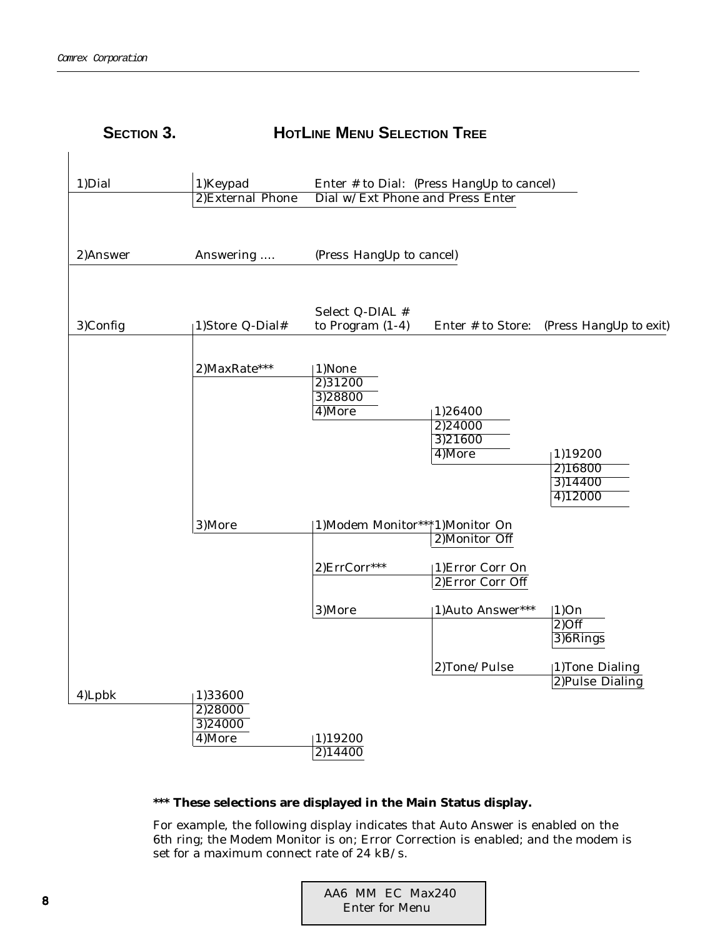| <b>SECTION 3.</b> |                                         | <b>HOTLINE MENU SELECTION TREE</b>     |                                           |                                          |
|-------------------|-----------------------------------------|----------------------------------------|-------------------------------------------|------------------------------------------|
| 1) Dial           | 1)Keypad<br>2)External Phone            | Dial w/Ext Phone and Press Enter       | Enter # to Dial: (Press HangUp to cancel) |                                          |
| 2)Answer          | Answering                               | (Press HangUp to cancel)               |                                           |                                          |
| 3)Config          | 1)Store Q-Dial#                         | Select Q-DIAL #<br>to Program $(1-4)$  | Enter # to Store:                         | (Press HangUp to exit)                   |
|                   | 2) MaxRate***                           | 1)None<br>2)31200<br>3)28800<br>4)More | 1)26400<br>2)24000<br>3)21600<br>4)More   | 1)19200<br>2)16800<br>3)14400<br>4)12000 |
|                   | 3)More                                  | 1)Modem Monitor***1)Monitor On         | 2) Monitor Off                            |                                          |
|                   |                                         | 2)ErrCorr***                           | 1) Error Corr On<br>2) Error Corr Off     |                                          |
|                   |                                         | 3)More                                 | 1)Auto Answer***                          | 1)On<br>$2)$ Off<br>3)6Rings             |
|                   |                                         |                                        | 2)Tone/Pulse                              | 1)Tone Dialing<br>2)Pulse Dialing        |
| 4)Lpbk            | 1)33600<br>2)28000<br>3)24000<br>4)More | 1)19200<br>$\overline{2)14400}$        |                                           |                                          |

### **\*\*\* These selections are displayed in the Main Status display.**

For example, the following display indicates that Auto Answer is enabled on the 6th ring; the Modem Monitor is on; Error Correction is enabled; and the modem is set for a maximum connect rate of 24 kB/s.

|                | AA6 MM EC Max240 |  |
|----------------|------------------|--|
| Enter for Menu |                  |  |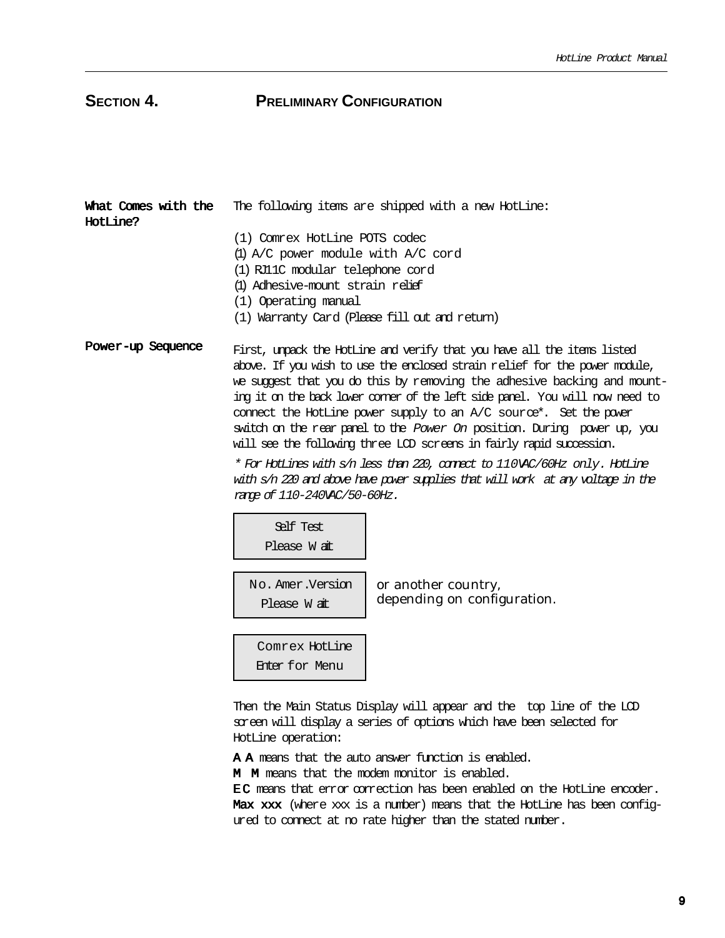# **SECTION 4. PRELIMINARY CONFIGURATION**

| HotLine? | What Comes with the The following items are shipped with a new HotLine: |
|----------|-------------------------------------------------------------------------|
|          | (1) Comrex HotLine POTS codec                                           |
|          | (1) $A/C$ power module with $A/C$ cord                                  |
|          | (1) RJ1C modular telephone cord                                         |
|          | (1) Adhesive-mount strain relief                                        |
|          | (1) Operating manual                                                    |
|          | (1) Warranty Card (Please fill out and return)                          |

Power-up Sequence First, unpack the HotLine and verify that you have all the items listed above. If you wish to use the enclosed strain relief for the power module, we suggest that you do this by removing the adhesive backing and mounting it on the back lower corner of the left side panel. You will now need to connect the HotLine power supply to an A/C source\*. Set the power switch on the rear panel to the Power On position. During power up, you will see the following three LCD screens in fairly rapid succession.

> \* For HotLines with s/n less than 220, connect to 110VAC/60Hz only. HotLine with s/n 220 and above have power supplies that will work at any voltage in the range of 110-240VAC/50-60Hz.

Self Test Please W ait

No. Amer.Version Please W ait

or another country, depending on configuration.

Comrex HotLine Enter for Menu

Then the Main Status Display will appear and the top line of the LCD screen will display a series of options which have been selected for HotLine operation:

A A means that the auto answer function is enabled.

M M means that the modem monitor is enabled.

EC means that error correction has been enabled on the HotLine encoder. Max xxx (where xxx is a number) means that the HotLine has been configured to connect at no rate higher than the stated number.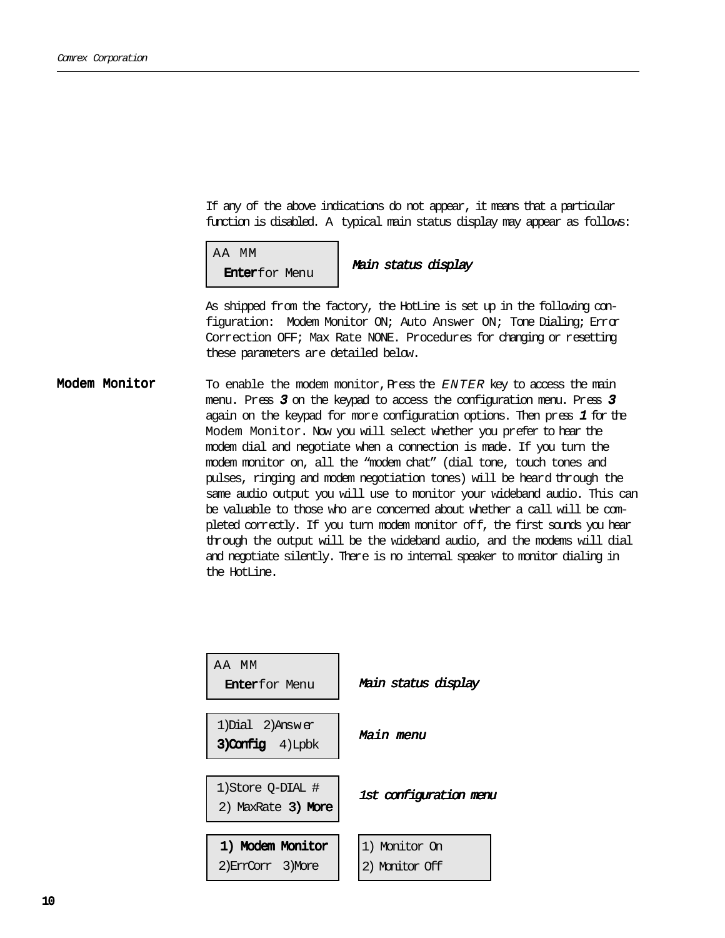If any of the above indications do not appear, it means that a particular function is disabled. A typical main status display may appear as follows:

 AA MM **Enterfor Menu Main status display** 

As shipped from the factory, the HotLine is set up in the following configuration: Modem Monitor ON; Auto Answer ON; Tone Dialing; Error Correction OFF; Max Rate NONE. Procedures for changing or resetting these parameters are detailed below.

To enable the modem monitor, Press the  $ENTER$  key to access the main menu. Press <sup>3</sup> on the keypad to access the configuration menu. Press <sup>3</sup> again on the keypad for more configuration options. Then press <sup>1</sup> for the Modem Monitor. Now you will select whether you prefer to hear the modem dial and negotiate when a connection is made. If you turn the modem monitor on, all the "modem chat" (dial tone, touch tones and pulses, ringing and modem negotiation tones) will be heard through the same audio output you will use to monitor your wideband audio. This can be valuable to those who are concerned about whether a call will be completed correctly. If you turn modem monitor off, the first sounds you hear through the output will be the wideband audio, and the modems will dial and negotiate silently. There is no internal speaker to monitor dialing in the HotLine. Modem Monitor

| AA MM<br><b>Enterfor Menu</b>              | Main status display             |
|--------------------------------------------|---------------------------------|
| 1) Dial 2) Answer<br>$3)$ Config $4)$ Lpbk | Main menu                       |
| 1) Store 0-DIAL #<br>2) MaxRate 3) More    | 1st configuration menu          |
| 1) Modem Monitor<br>2) ErrCorr 3) More     | 1) Monitor On<br>2) Monitor Off |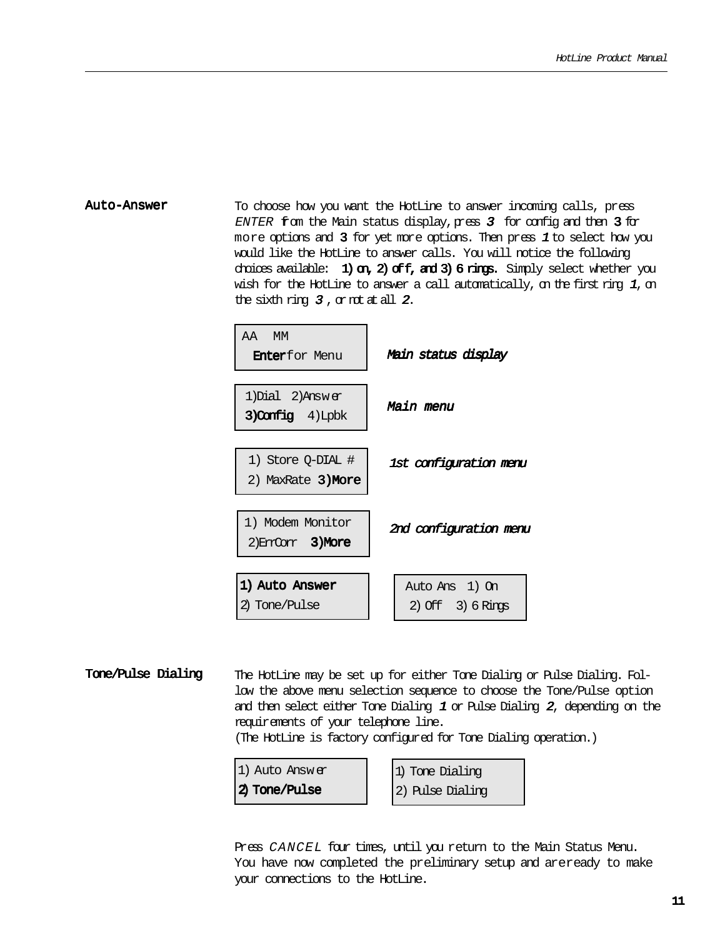Auto-Answer To choose how you want the HotLine to answer incoming calls, press ENTER from the Main status display,  $pr$  as  $3$  for config and then  $3$  for more options and  $3$  for yet more options. Then press  $1$  to select how you would like the HotLine to answer calls. You will notice the following choices available: 1) on, 2) of  $f$ , and 3) 6 rings. Simply select whether you wish for the HotLine to answer a call automatically, on the first ring  $1$ , on the sixth ring  $3$ , or not at all  $2$ .

| AA MM<br><b>Enterfor Menu</b>                 | Main status display                     |
|-----------------------------------------------|-----------------------------------------|
| 1) Dial 2) Answer<br>3) Config 4) Lpbk        | Main menu                               |
| 1) Store O-DIAL #<br>2) MaxRate <b>3)More</b> | 1st configuration menu                  |
| 1) Modem Monitor<br>2) Enricher 3) More       | 2nd configuration menu                  |
| 1) Auto Answer<br>2) Tone/Pulse               | Auto Ans 1) On<br>$2)$ Off $3)$ 6 Rings |

Tone/Pulse Dialing The HotLine may be set up for either Tone Dialing or Pulse Dialing. Follow the above menu selection sequence to choose the Tone/Pulse option and then select either Tone Dialing 1 or Pulse Dialing 2, depending on the requirements of your telephone line.

(The HotLine is factory configured for Tone Dialing operation.)



1) Tone Dialing 2) Pulse Dialing

Press CANCEL four times, until you return to the Main Status Menu. You have now completed the preliminary setup and areready to make your connections to the HotLine.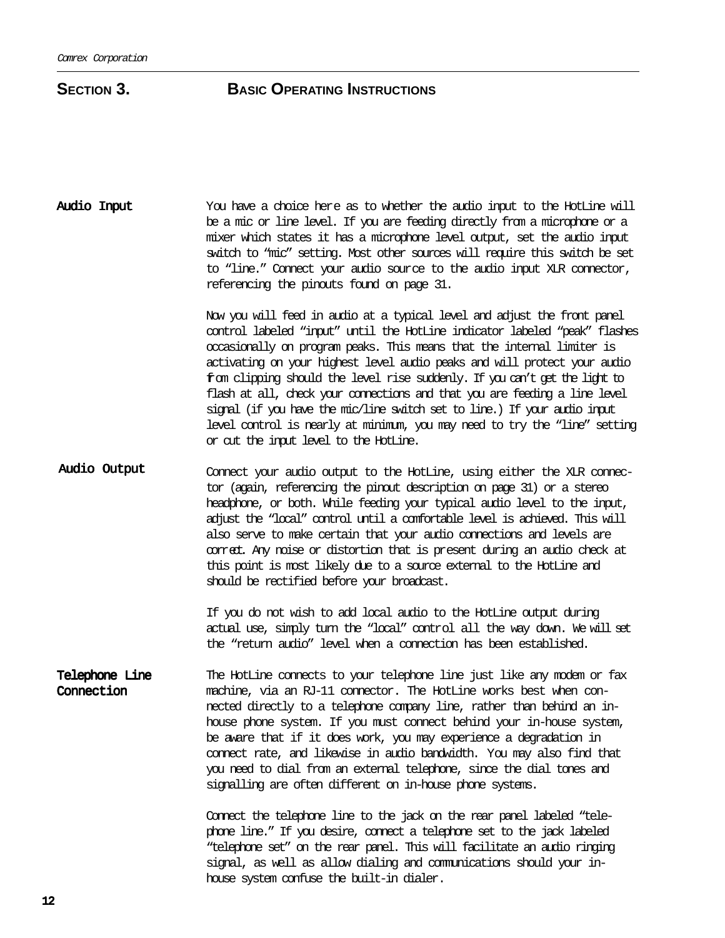| be a mic or line level. If you are feeding directly from a microphone or a  |
|-----------------------------------------------------------------------------|
|                                                                             |
| mixer which states it has a microphone level output, set the audio input    |
| switch to "mic" setting. Most other sources will require this switch be set |
| to "line." Connect your audio source to the audio input XIR connector,      |
|                                                                             |
|                                                                             |

Now you will feed in audio at a typical level and adjust the front panel control labeled "input" until the HotLine indicator labeled "peak" flashes occasionally on program peaks. This means that the internal limiter is activating on your highest level audio peaks and will protect your audio from clipping should the level rise suddenly. If you can't get the light to flash at all, check your connections and that you are feeding a line level signal (if you have the mic/line switch set to line.) If your audio input level control is nearly at minimum, you may need to try the "line" setting or cut the input level to the HotLine.

Audio Output Connect your audio output to the HotLine, using either the XLR connector (again, referencing the pinout description on page 31) or a stereo headphone, or both. While feeding your typical audio level to the input, adjust the "local" control until a comfortable level is achieved. This will also serve to make certain that your audio connections and levels are correct. Any noise or distortion that is present during an audio check at this point is most likely due to a source external to the HotLine and should be rectified before your broadcast.

> If you do not wish to add local audio to the HotLine output during actual use, simply turn the "local" control all the way down. We will set the "return audio" level when a connection has been established.

Telephone Line Connection The HotLine connects to your telephone line just like any modem or fax machine, via an RJ-11 connector. The HotLine works best when connected directly to a telephone company line, rather than behind an inhouse phone system. If you must connect behind your in-house system, be aware that if it does work, you may experience a degradation in connect rate, and likewise in audio bandwidth. You may also find that you need to dial from an external telephone, since the dial tones and signalling are often different on in-house phone systems.

> Connect the telephone line to the jack on the rear panel labeled "telephone line." If you desire, connect a telephone set to the jack labeled "telephone set" on the rear panel. This will facilitate an audio ringing signal, as well as allow dialing and communications should your inhouse system confuse the built-in dialer.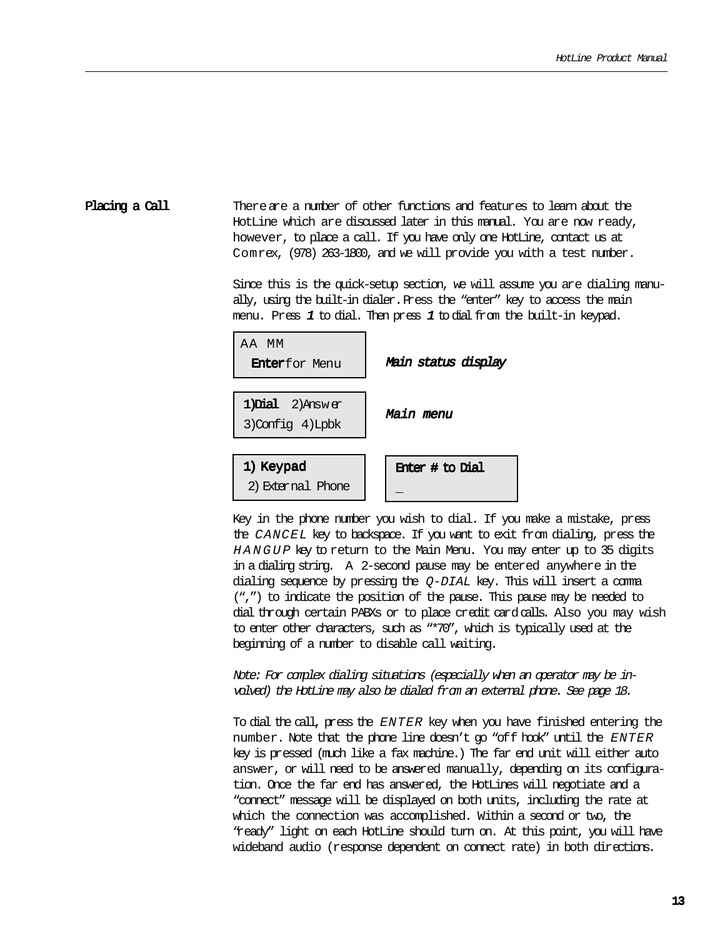#### Placing a Call There are a number of other functions and features to learn about the HotLine which are discussed later in this manual. You are now ready, however, to place a call. If you have only one HotLine, contact us at Comrex, (978) 263-1800, and we will provide you with a test number.

Since this is the quick-setup section, we will assume you are dialing manually, using the built-in dialer. Press the "enter" key to access the main menu. Press <sup>1</sup> to dial. Then press <sup>1</sup> to dial from the built-in keypad.



Key in the phone number you wish to dial. If you make a mistake, press the CANCEL key to backspace. If you want to exit from dialing, press the HANGUP key to return to the Main Menu. You may enter up to 35 digits in a dialing string. A 2-second pause may be entered anywhere in the dialing sequence by pressing the  $Q-DIAL$  key. This will insert a comma (",") to indicate the position of the pause. This pause may be needed to dial through certain PABXs or to place credit card calls. Also you may wish to enter other characters, such as "\*70", which is typically used at the beginning of a number to disable call waiting.

Note: For complex dialing situations (especially when an operator may be involved) the HotLine may also be dialed from an external phone. See page 18.

To dial the call, press the ENTER key when you have finished entering the number. Note that the phone line doesn't go "off hook" until the ENTER key is pressed (much like a fax machine.) The far end unit will either auto answer, or will need to be answered manually, depending on its configuration. Once the far end has answered, the HotLines will negotiate and a "connect" message will be displayed on both units, including the rate at which the connection was accomplished. Within a second or two, the "ready" light on each HotLine should turn on. At this point, you will have wideband audio (response dependent on connect rate) in both directions.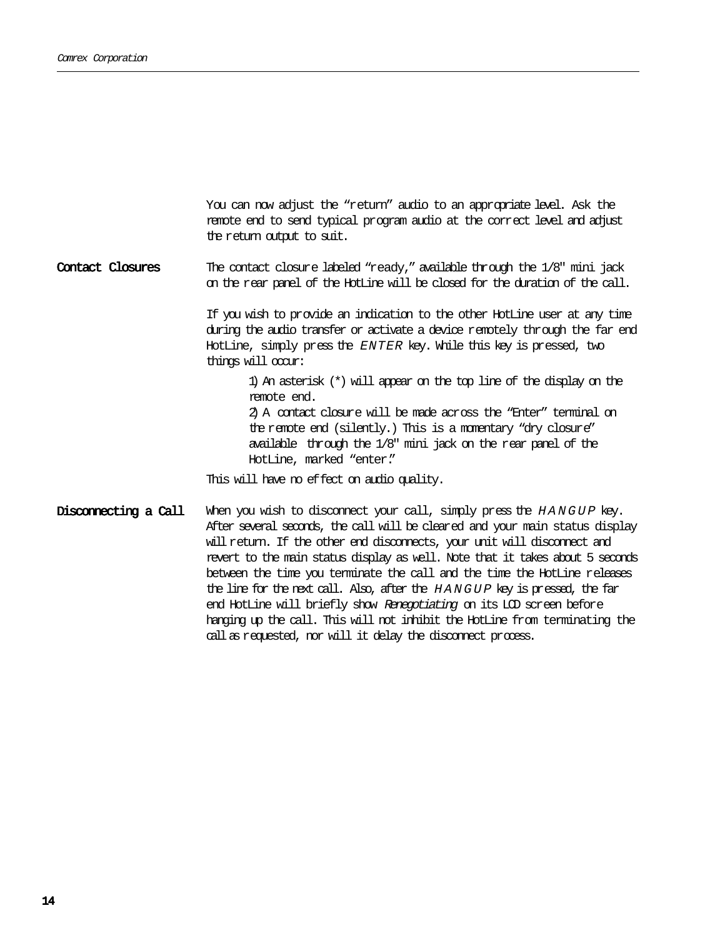You can now adjust the "return" audio to an appropriate level. Ask the remote end to send typical program audio at the correct level and adjust the return output to suit.

Contact Closures The contact closure labeled "ready," available through the 1/8" mini jack on the rear panel of the HotLine will be closed for the duration of the call.

> If you wish to provide an indication to the other HotLine user at any time during the audio transfer or activate a device remotely through the far end HotLine, simply press the ENTER key. While this key is pressed, two things will occur:

1) An asterisk (\*) will appear on the top line of the display on the remote end. 2) A contact closure will be made across the "Enter" terminal on the remote end (silently.) This is a momentary "dry closure" available through the 1/8" mini jack on the rear panel of the HotLine, marked "enter."

This will have no effect on audio quality.

Disconnecting a Call When you wish to disconnect your call, simply press the HANGUP key. After several seconds, the call will be cleared and your main status display will return. If the other end disconnects, your unit will disconnect and revert to the main status display as well. Note that it takes about 5 seconds between the time you terminate the call and the time the HotLine releases the line for the next call. Also, after the HANGUP key is pressed, the far end HotLine will briefly show Renegotiating on its LCD screen before hanging up the call. This will not inhibit the HotLine from terminating the call as requested, nor will it delay the disconnect process.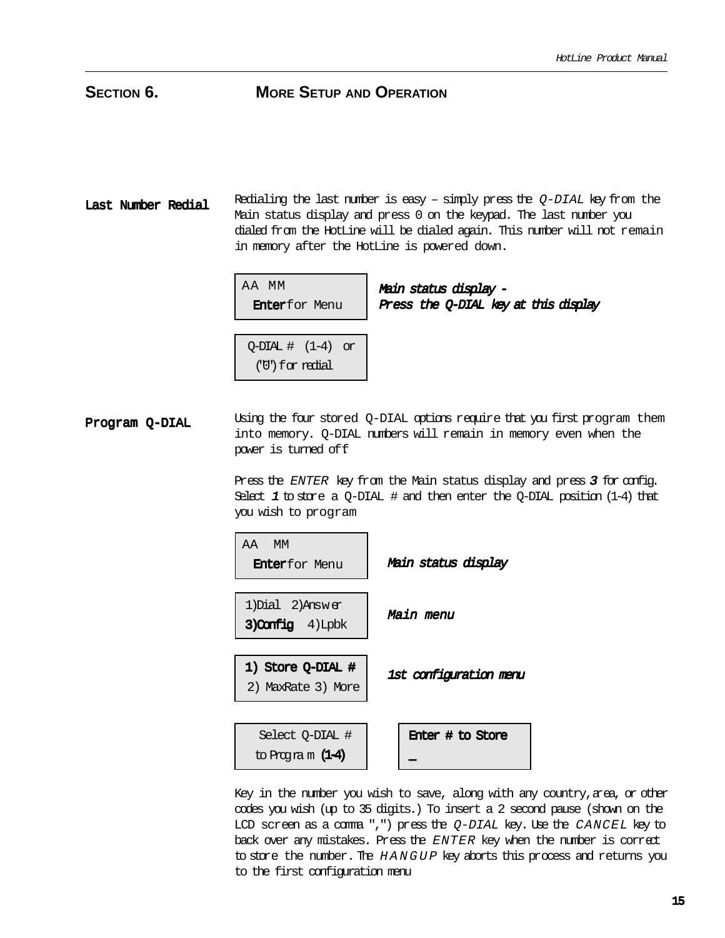Last Number Redial Redialing the last number is easy – simply press the  $Q$ -DIAL key from the Main status display and press 0 on the keypad. The last number you dialed from the HotLine will be dialed again. This number will not remain in memory after the HotLine is powered down.

| AA MM |                       |  |
|-------|-----------------------|--|
|       | <b>Enter</b> for Menu |  |

Main status display - Press the Q-DIAL key at this display

 $Q$ -DIAL  $\#$   $(1-4)$  or ("0")for redial

Program Q-DIAL Using the four stored Q-DIAL options require that you first program them into memory. Q-DIAL numbers will remain in memory even when the power is turned off.

> Press the ENTER key from the Main status display and press <sup>3</sup> for config. Select  $1$  to store a Q-DIAL # and then enter the Q-DIAL position (1-4) that you wish to program



Key in the number you wish to save, along with any country, area, or other codes you wish (up to 35 digits.) To insert a 2 second pause (shown on the LCD screen as a comma ",") press the  $Q-DIAL$  key. Use the CANCEL key to back over any mistakes. Press the ENTER key when the number is correct to store the number. The HANGUP key aborts this process and returns you to the first configuration menu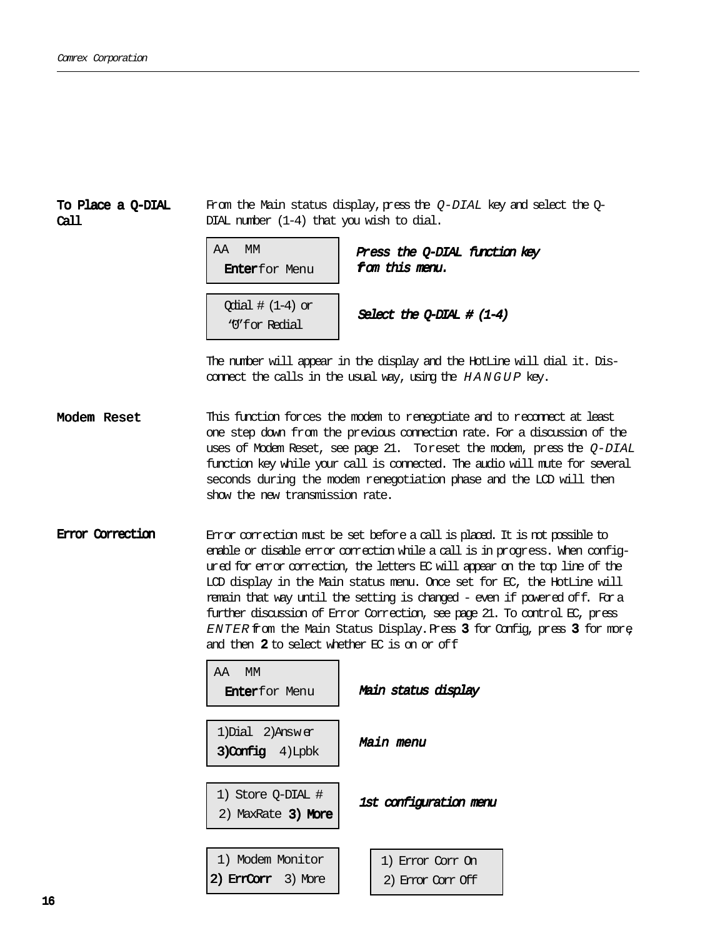#### To Place a Q-DIAL Call

From the Main status display, press the  $Q$ -DIAL key and select the  $Q$ -DIAL number (1-4) that you wish to dial.

| AA<br>МM                |  |
|-------------------------|--|
| <b>Enter</b> for Menu   |  |
|                         |  |
| $\alpha$ ial # (1-4) or |  |
| ''M'for Redial          |  |

Press the Q-DIAL function key om this menu.

elect the O-DIAL  $# (1-4)$ 

The number will appear in the display and the HotLine will dial it. Disconnect the calls in the usual way, using the HANGUP key.

Modem Reset This function forces the modem to renegotiate and to reconnect at least one step down from the previous connection rate. For a discussion of the uses of Modem Reset, see page 21. Toreset the modem, press the Q-DIAL function key while your call is connected. The audio will mute for several seconds during the modem renegotiation phase and the LCD will then show the new transmission rate.

Error Correction Error correction must be set before a call is placed. It is not possible to enable or disable error correction while a call is in progress. When configured for error correction, the letters EC will appear on the top line of the LCD display in the Main status menu. Once set for EC, the HotLine will remain that way until the setting is changed - even if powered off. For a further discussion of Error Correction, see page 21. To control EC, press  $ENTER$  from the Main Status Display. Press 3 for Config, press 3 for more and then 2 to select whether EC is on or off.

| AA MM<br><b>Enter</b> for Menu               | Main status display                   |
|----------------------------------------------|---------------------------------------|
| 1) Dial $2)$ Answer<br>$3)$ Config $4)$ Lpbk | Main menu                             |
| 1) Store O-DIAL #<br>2) MaxRate 3) More      | 1st configuration menu                |
| 1) Modem Monitor<br>2) Erndorn 3) More       | 1) Error Corr On<br>2) Einer Canr Off |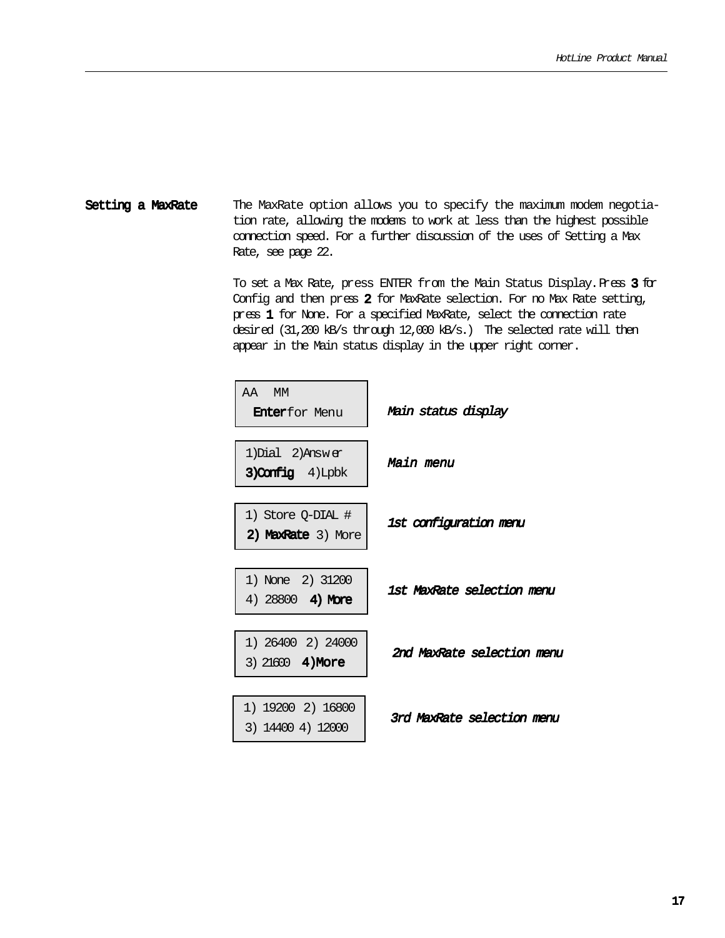#### Setting a MaxRate The MaxRate option allows you to specify the maximum modem negotiation rate, allowing the modems to work at less than the highest possible connection speed. For a further discussion of the uses of Setting a Max Rate, see page 22.

To set a Max Rate, press ENTER from the Main Status Display. Press  $3$  for Config and then press 2 for MaxRate selection. For no Max Rate setting, press 1 for None. For a specified MaxRate, select the connection rate 1 desired (31,200 kB/s through 12,000 kB/s.) The selected rate will then appear in the Main status display in the upper right corner.

| AA MM<br><b>Enterfor Menu</b>                 | Main status display        |
|-----------------------------------------------|----------------------------|
| 1) Dial 2) Answer<br>3) Config 4) Lpbk        | Main menu                  |
| 1) Store Q-DIAL #<br>2) MaxRate 3) More       | 1st configuration menu     |
| 1) None 2) 31200<br>4) $28800$ <b>4) More</b> | 1st MaxRate selection menu |
| 1) 26400 2) 24000<br>3) 21600 4) More         | 2nd MaxRate selection menu |
| 1) 19200 2) 16800<br>3) 14400 4) 12000        | 3rd MaxRate selection menu |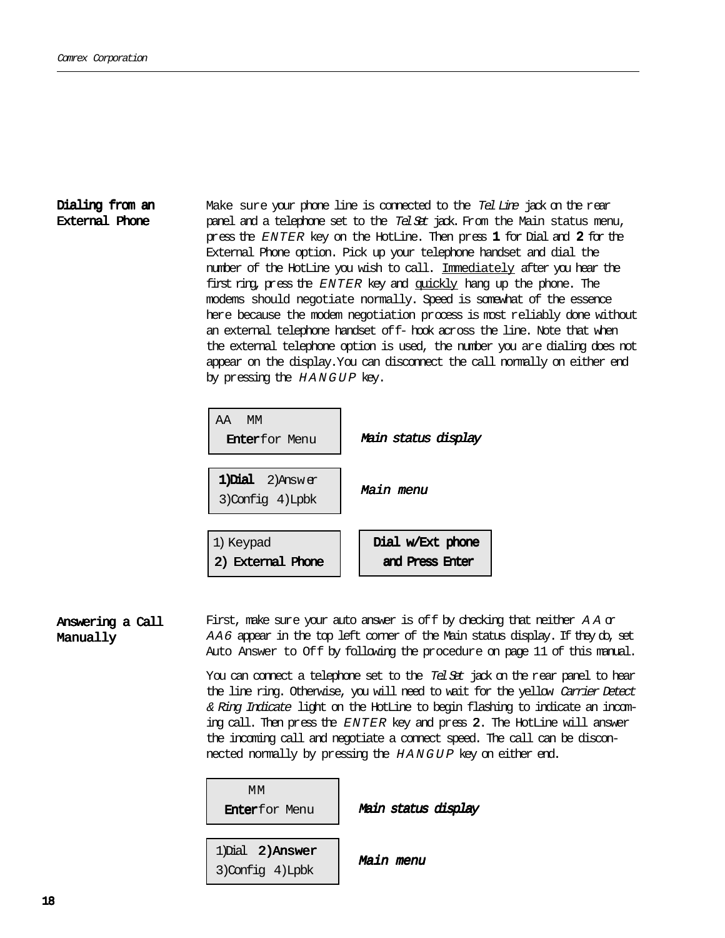### Dialing from an External Phone

Make sure your phone line is connected to the Tel Line jack on the rear panel and a telephone set to the Tel Set jack. Firom the Main status menu, press the  $ENTER$  key on the HotLine. Then press  $1$  for Dial and  $2$  for the External Phone option. Pick up your telephone handset and dial the number of the HotLine you wish to call. Immediately after you hear the first ring, press the ENTER key and quickly hang up the phone. The modems should negotiate normally. Speed is somewhat of the essence here because the modem negotiation process is most reliably done without an external telephone handset off- hook across the line. Note that when the external telephone option is used, the number you are dialing does not appear on the display. You can disconnect the call normally on either end by pressing the HANGUP key.



First, make sure your auto answer is of f by checking that neither  $A A \alpha$ AA6 appear in the top left corner of the Main status display. If they do, set Auto Answer to Off by following the procedure on page 11 of this manual. Answering a Call Manually

> You can connect a telephone set to the Tel Set jack on the rear panel to hear the line ring. Otherwise, you will need to wait for the yellow Carrier Detect & Ring Indicate light on the HotLine to begin flashing to indicate an incoming call. Then press the ENTER key and press 2. The HotLine will answer the incoming call and negotiate a connect speed. The call can be disconnected normally by pressing the HANGUP key on either end.

 MM Enterfor Menu

Main status display

1)Dial 2)Answer 3)Config 4)Lpbk

Main menu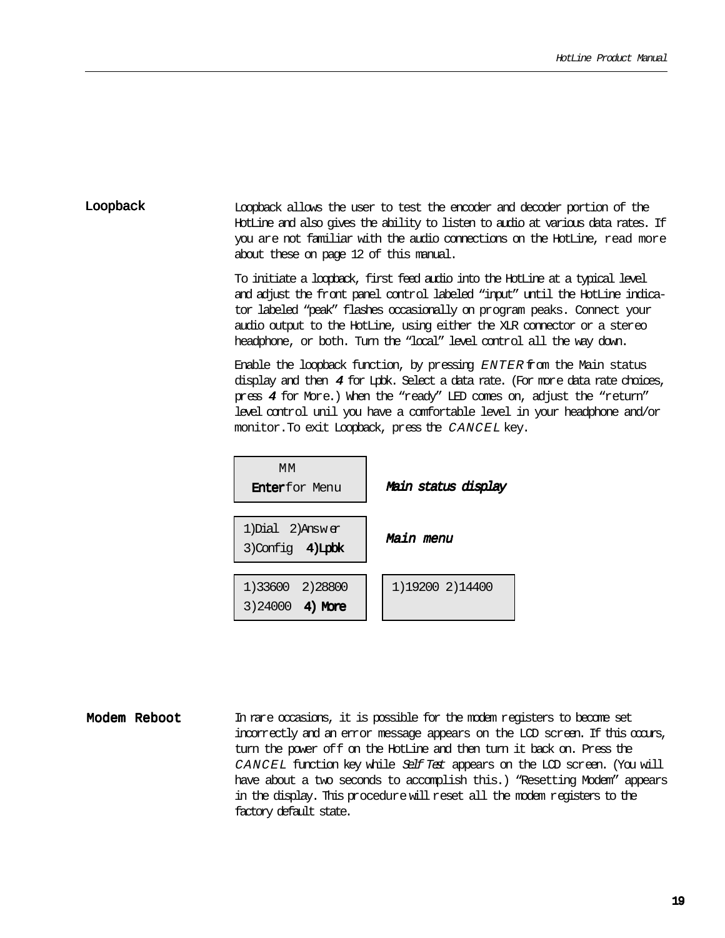#### Loopback allows the user to test the encoder and decoder portion of the HotLine and also gives the ability to listen to audio at various data rates. If you are not familiar with the audio connections on the HotLine, read more about these on page 12 of this manual. Loopback

To initiate a loopback, first feed audio into the HotLine at a typical level and adjust the front panel control labeled "input" until the HotLine indicator labeled "peak" flashes occasionally on program peaks. Connect your audio output to the HotLine, using either the XLR connector or a stereo headphone, or both. Turn the "local" level control all the way down.

Enable the loopback function, by pressing ENTER from the Main status display and then  $4$  for Lpbk. Select a data rate. (For more data rate choices, press 4 for More.) When the "ready" LED comes on, adjust the "return" level control unil you have a comfortable level in your headphone and/or monitor.To exit Loopback, press the CANCEL key.



Modem Reboot In rare occasions, it is possible for the modem registers to become set incorrectly and an error message appears on the LCD screen. If this occurs, turn the power off on the HotLine and then turn it back on. Press the CANCEL function key while Self Test appears on the LCD screen. (You will have about a two seconds to accomplish this.) "Resetting Modem" appears in the display. This procedure will reset all the modem registers to the factory default state.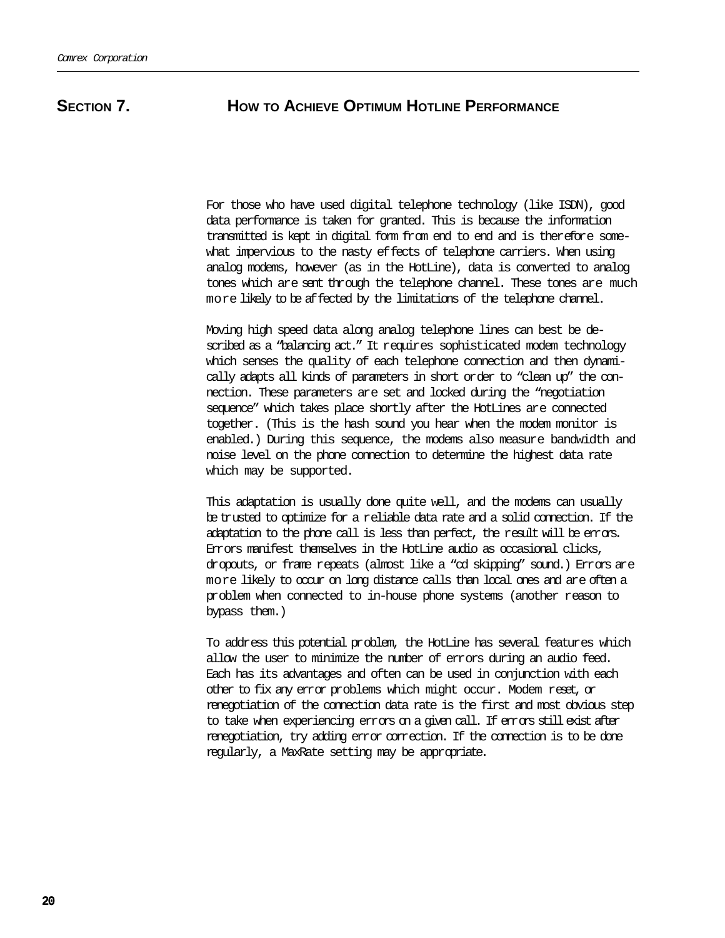### **SECTION 7. HOW TO ACHIEVE OPTIMUM HOTLINE PERFORMANCE**

For those who have used digital telephone technology (like ISDN), good data performance is taken for granted. This is because the information transmitted is kept in digital form from end to end and is therefore somewhat impervious to the nasty effects of telephone carriers. When using analog modems, however (as in the HotLine), data is converted to analog tones which are sent through the telephone channel. These tones are much more likely to be affected by the limitations of the telephone channel.

Moving high speed data along analog telephone lines can best be described as a "balancing act." It requires sophisticated modem technology which senses the quality of each telephone connection and then dynamically adapts all kinds of parameters in short order to "clean up" the connection. These parameters are set and locked during the "negotiation sequence" which takes place shortly after the HotLines are connected together. (This is the hash sound you hear when the modem monitor is enabled.) During this sequence, the modems also measure bandwidth and noise level on the phone connection to determine the highest data rate which may be supported.

This adaptation is usually done quite well, and the modems can usually be trusted to optimize for a reliable data rate and a solid connection. If the adaptation to the phone call is less than perfect, the result will be errors. Errors manifest themselves in the HotLine audio as occasional clicks, dropouts, or frame repeats (almost like a "cd skipping" sound.) Errors are more likely to occur on long distance calls than local ones and are often a problem when connected to in-house phone systems (another reason to bypass them.)

To address this potential problem, the HotLine has several features which allow the user to minimize the number of errors during an audio feed. Each has its advantages and often can be used in conjunction with each other to fix any error problems which might occur. Modem reset, or renegotiation of the connection data rate is the first and most obvious step to take when experiencing errors on a given call. If errors still exist after renegotiation, try adding error correction. If the correction is to be done regularly, a MaxRate setting may be appropriate.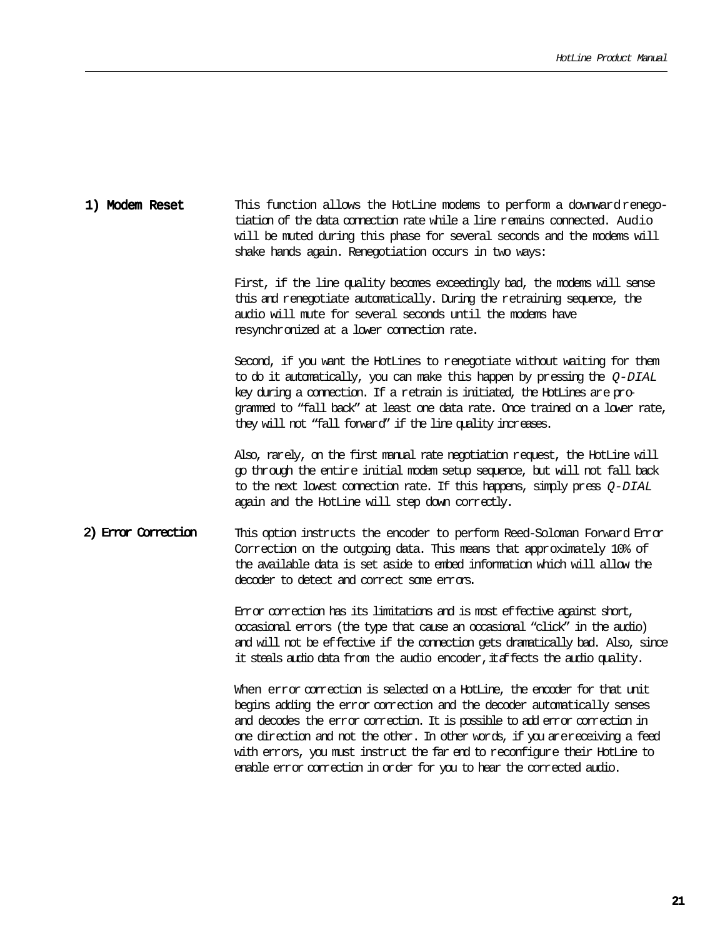| 1) Modem Reset | This function allows the HotLine modems to perform a downward renego-     |  |
|----------------|---------------------------------------------------------------------------|--|
|                | tiation of the data cornection rate while a line remains connected. Audio |  |
|                | will be muted during this phase for several seconds and the modems will   |  |
|                | shake hands again. Renegotiation occurs in two ways:                      |  |

First, if the line quality becomes exceedingly bad, the modems will sense this and renegotiate automatically. During the retraining sequence, the audio will mute for several seconds until the modems have resynchronized at a lower connection rate.

Second, if you want the HotLines to renegotiate without waiting for them to do it automatically, you can make this happen by pressing the  $Q-DIAL$ key during a connection. If a retrain is initiated, the HotLines are programmed to "fall back" at least one data rate. Once trained on a lower rate, they will not "fall forward" if the line quality increases.

Also, rarely, on the first manual rate negotiation request, the HotLine will go through the entire initial modem setup sequence, but will not fall back to the next lowest connection rate. If this happens, simply press  $Q-DIAL$ again and the HotLine will step down correctly.

#### 2) Error Correction This option instructs the encoder to perform Reed-Soloman Forward Error Correction on the outgoing data. This means that approximately 10% of the available data is set aside to embed information which will allow the decoder to detect and correct some errors.

Error correction has its limitations and is most effective against short, occasional errors (the type that cause an occasional "click" in the audio) and will not be effective if the connection gets dramatically bad. Also, since it steals audio data from the audio encoder, it affects the audio quality.

When error correction is selected on a HotLine, the encoder for that unit begins adding the error correction and the decoder automatically senses and decodes the error correction. It is possible to add error correction in one direction and not the other. In other words, if you arereceiving a feed with errors, you must instruct the far end to reconfigure their HotLine to enable error correction in order for you to hear the corrected audio.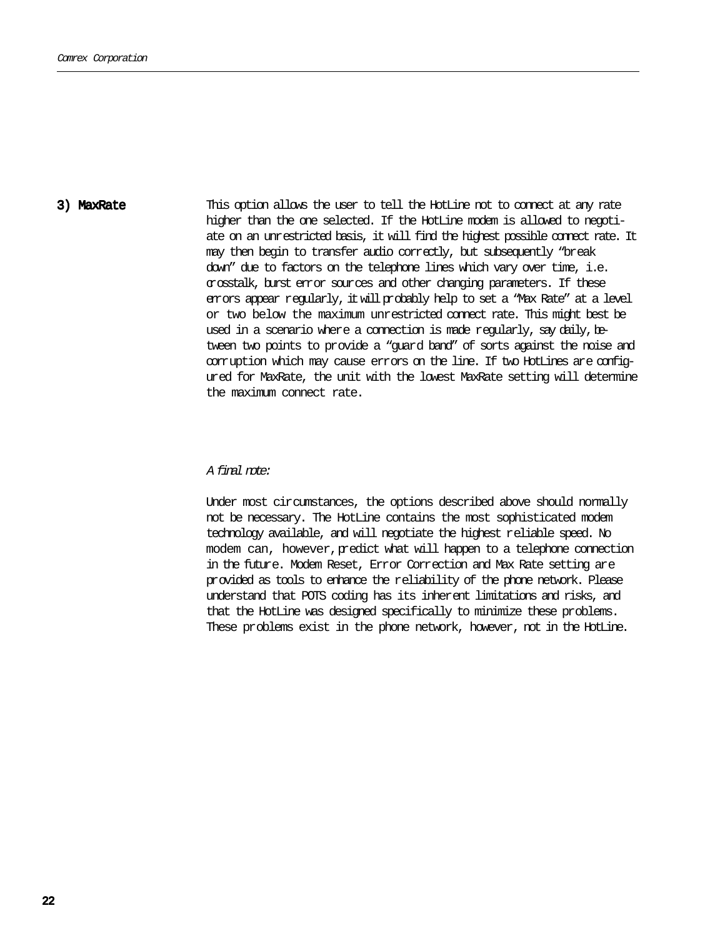3) MaxRate This option allows the user to tell the HotLine not to connect at any rate higher than the one selected. If the HotLine modem is allowed to negotiate on an unrestricted basis, it will find the highest possible connect rate. It may then begin to transfer audio correctly, but subsequently "break down" due to factors on the telephone lines which vary over time, i.e. crosstalk, burst error sources and other changing parameters. If these errors appear regularly, it will probably help to set a "Max Rate" at a level or two below the maximum unrestricted connect rate. This might best be used in a scenario where a connection is made regularly, say daily, between two points to provide a "guard band" of sorts against the noise and corruption which may cause errors on the line. If two HotLines are configured for MaxRate, the unit with the lowest MaxRate setting will determine the maximum connect rate.

#### A final note:

Under most circumstances, the options described above should normally not be necessary. The HotLine contains the most sophisticated modem technology available, and will negotiate the highest reliable speed. No modem can, however, predict what will happen to a telephone connection in the future. Modem Reset, Error Correction and Max Rate setting are provided as tools to enhance the reliability of the phone network. Please understand that POTS coding has its inherent limitations and risks, and that the HotLine was designed specifically to minimize these problems. These problems exist in the phone network, however, not in the HotLine.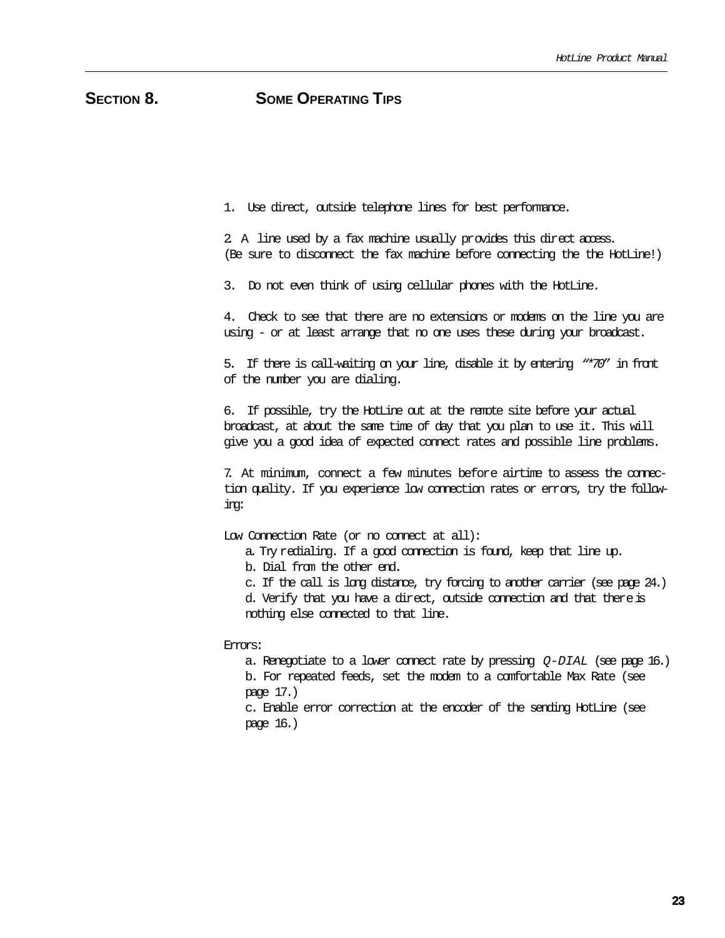### SECTION 8. SOME OPERATING TIPS

1. Use direct, outside telephone lines for best performance.

2. A line used by a fax machine usually provides this direct access. (Be sure to disconnect the fax machine before connecting the the HotLine!)

3. Do not even think of using cellular phones with the HotLine.

4. Check to see that there are no extensions or modems on the line you are using - or at least arrange that no one uses these during your broadcast.

5. If there is call-waiting on your line, disable it by entering "\*70" in front of the number you are dialing.

6. If possible, try the HotLine out at the remote site before your actual broadcast, at about the same time of day that you plan to use it. This will give you a good idea of expected connect rates and possible line problems.

7. At minimum, connect a few minutes before airtime to assess the connection quality. If you experience low connection rates or errors, try the following:

Low Connection Rate (or no connect at all):

a. Try redialing. If a good connection is found, keep that line up.

b. Dial from the other end.

c. If the call is long distance, try forcing to another carrier (see page 24.) d. Verify that you have a direct, outside connection and that there is nothing else connected to that line.

Errors:

a. Renegotiate to a lower connect rate by pressing  $Q-DIAL$  (see page 16.) b. For repeated feeds, set the modem to a comfortable Max Rate (see page 17.)

c. Enable error correction at the encoder of the sending HotLine (see page 16.)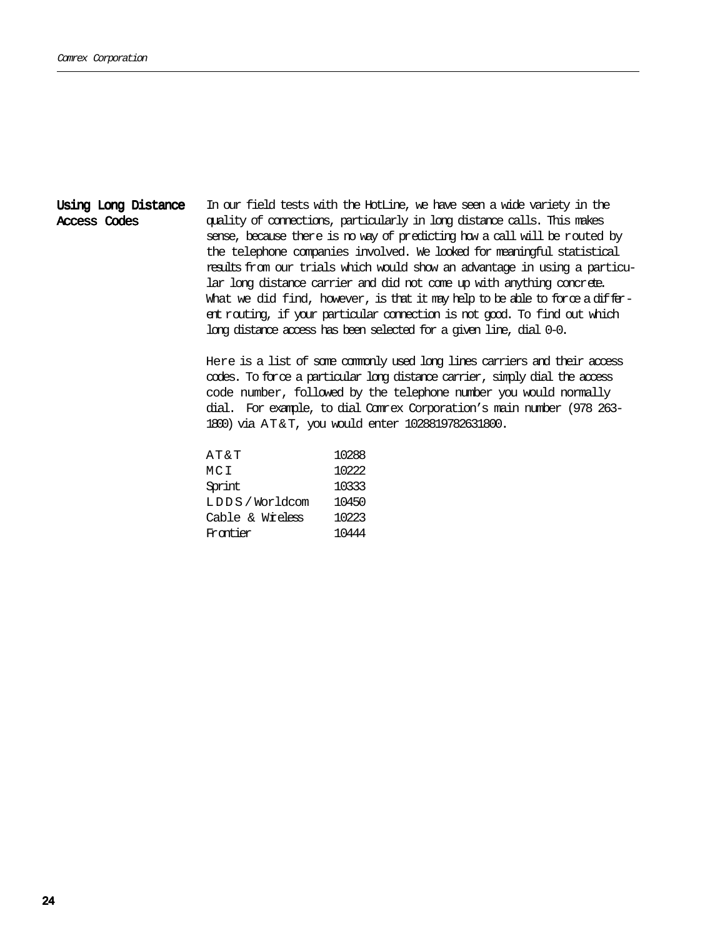#### Using Long Distance Access Codes

In our field tests with the HotLine, we have seen a wide variety in the quality of connections, particularly in long distance calls. This makes sense, because there is no way of predicting how a call will be routed by the telephone companies involved. We looked for meaningful statistical results from our trials which would show an advantage in using a particular long distance carrier and did not come up with anything concrete. What we did find, however, is that it may help to be able to force a different routing, if your particular connection is not good. To find out which long distance access has been selected for a given line, dial 0-0.

Here is a list of some commonly used long lines carriers and their access codes. To force a particular long distance carrier, simply dial the access code number, followed by the telephone number you would normally dial. For example, to dial Comrex Corporation's main number (978 263- 1800) via AT&T, you would enter 1028819782631800.

| AT&T            | 10288 |
|-----------------|-------|
| MCI             | 10222 |
| Sprint          | 10333 |
| LDDS / Worldcom | 10450 |
| Cable & Wreless | 10223 |
| Frantier        | 10444 |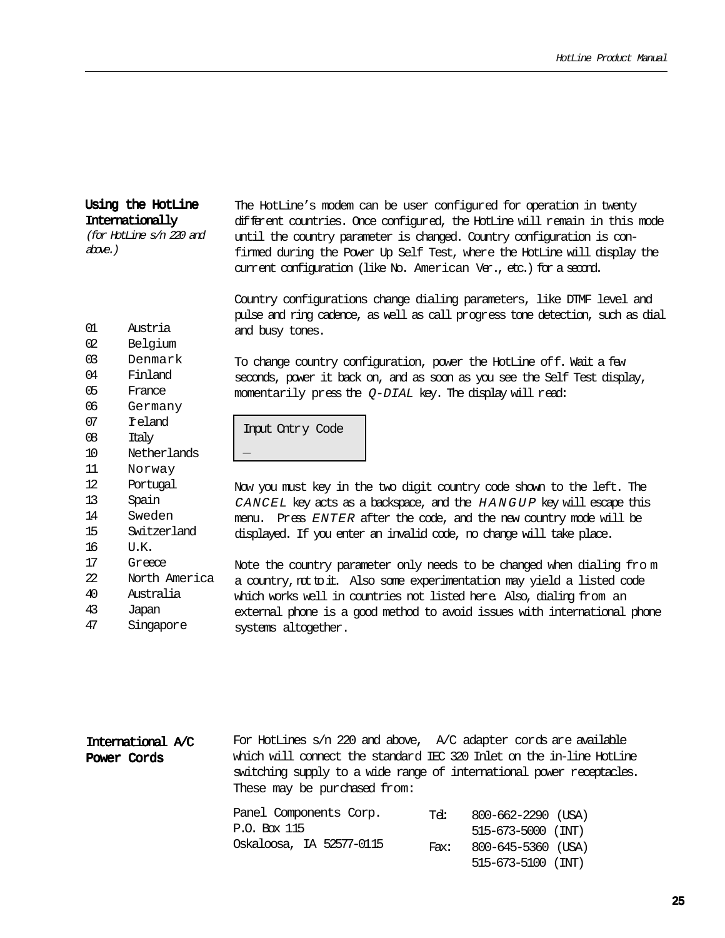### Using the HotLine **Internationally**

(for HotLine s/n 220 and above.)

The HotLine's modem can be user configured for operation in twenty different countries. Once configured, the HotLine will remain in this mode until the country parameter is changed. Country configuration is confirmed during the Power Up Self Test, where the HotLine will display the current configuration (like No. American Ver., etc.) for a second.

Country configurations change dialing parameters, like DTMF level and pulse and ring cadence, as well as call progress tone detection, such as dial and busy tones.

- 01 Austria 02 Belgium
- 03 Denmark
- 04 Finland
- 05 France
- 06 Germany
- 07 Ireland
- 08 Italy
- 10 Netherlands
- 11 Norway
- 12 Portugal
- 13 Spain
- 14 Sweden
- 15 Switzerland
- 16 U.K.
- 17 Greece
- 22 North America 40 Australia
- 43 Japan
- 47 Singapore

To change country configuration, power the HotLine off. Wait a few seconds, power it back on, and as soon as you see the Self Test display, momentarily press the  $Q$ -DIAL key. The display will read:

Input Cntry Code \_

Now you must key in the two digit country code shown to the left. The CANCEL key acts as a backspace, and the HANGUP key will escape this menu. Press ENTER after the code, and the new country mode will be displayed. If you enter an invalid code, no change will take place.

Note the country parameter only needs to be changed when dialing fro m a country, not to it. Also some experimentation may yield a listed code which works well in countries not listed here. Also, dialing from an external phone is a good method to avoid issues with international phone systems altogether.

515-673-5100 (INT)

| International A/C<br>Power Cords | For HotLines s/n 220 and above, A/C adapter cords are available<br>which will connect the standard IEC 320 Inlet on the in-line HotLine<br>switching supply to a wide range of international power receptacles.<br>These may be purchased from: |              |                                                                      |  |
|----------------------------------|-------------------------------------------------------------------------------------------------------------------------------------------------------------------------------------------------------------------------------------------------|--------------|----------------------------------------------------------------------|--|
|                                  | Panel Components Corp.<br>P.O. Box 115<br>Oskaloosa, IA 52577-0115                                                                                                                                                                              | Tel:<br>Fax: | 800-662-2290 (USA)<br>$515 - 673 - 5000$ (INT)<br>800-645-5360 (USA) |  |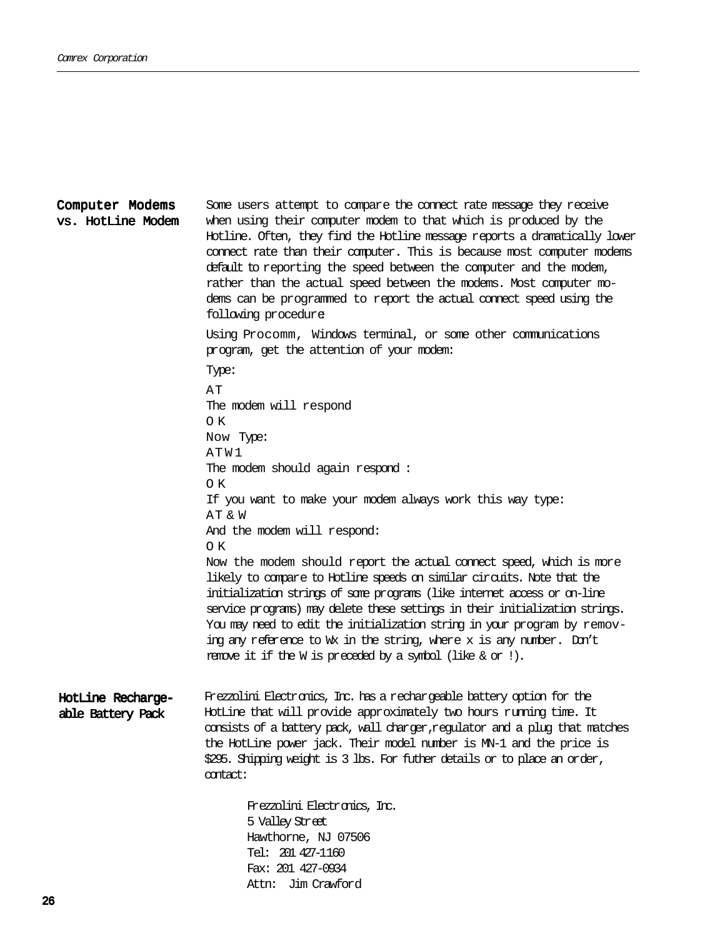Some users attempt to compare the connect rate message they receive when using their computer modem to that which is produced by the Hotline. Often, they find the Hotline message reports a dramatically lower connect rate than their computer. This is because most computer modems default to reporting the speed between the computer and the modem, rather than the actual speed between the modems. Most computer modems can be programmed to report the actual connect speed using the following procedure: Using Procomm, Windows terminal, or some other communications program, get the attention of your modem: Type: AT The modem will respond O K Now Type: ATW1 The modem should again respond : O K If you want to make your modem always work this way type: AT & W And the modem will respond: O K Now the modem should report the actual connect speed, which is more likely to compare to Hotline speeds on similar circuits. Note that the initialization strings of some programs (like internet access or on-line service programs) may delete these settings in their initialization strings. You may need to edit the initialization string in your program by removing any reference to Wx in the string, where x is any number. Don't remove it if the W is preceded by a symbol (like & or !). Computer Modems vs. HotLine Modem HotLine Rechargeable Battery Pack Frezzolini Electronics, Inc. has a rechargeable battery option for the HotLine that will provide approximately two hours running time. It consists of a battery pack, wall charger,regulator and a plug that matches the HotLine power jack. Their model number is MN-1 and the price is \$295. Shipping weight is 3 lbs. For futher details or to place an order, contact: Frezzolini Electronics, Inc. 5 Valley Street Hawthorne, NJ 07506 Tel: 201 427-1160 Fax: 201 427-0934

Attn: Jim Crawford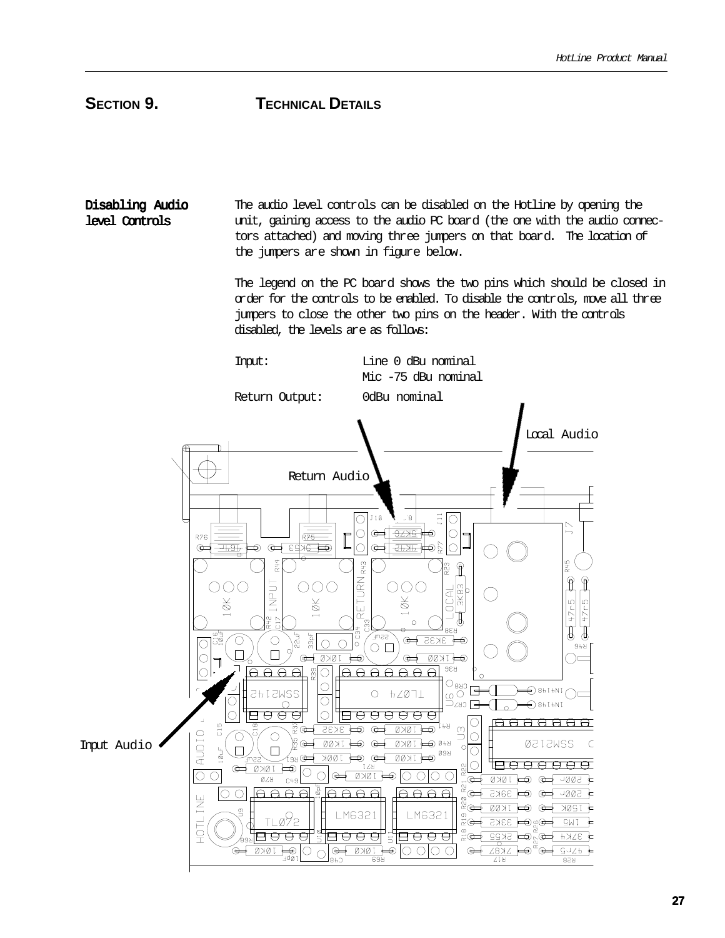## **SECTION 9. TECHNICAL DETAILS**

Disabling Audio level Controls

The audio level controls can be disabled on the Hotline by opening the unit, gaining access to the audio PC board (the one with the audio connectors attached) and moving three jumpers on that board. The location of the jumpers are shown in figure below.

The legend on the PC board shows the two pins which should be closed in order for the controls to be enabled. To disable the controls, move all three jumpers to close the other two pins on the header. With the controls disabled, the levels are as follows:

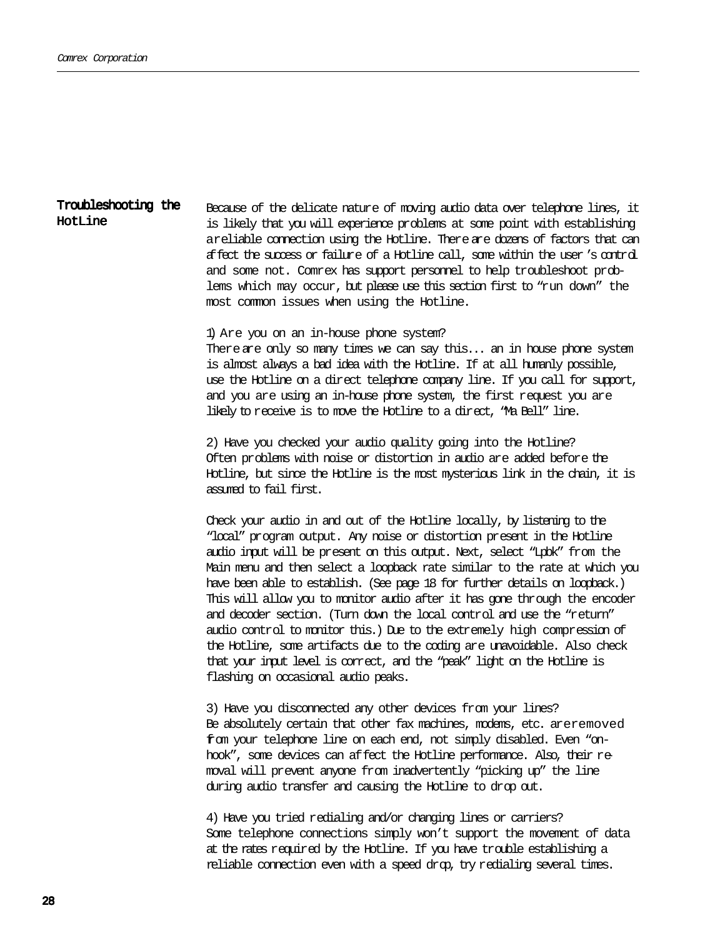#### Troubleshooting the HotLine

Because of the delicate nature of moving audio data over telephone lines, it is likely that you will experience problems at some point with establishing areliable connection using the Hotline. There are dozens of factors that can affect the success or failure of a Hotline call, some within the user's control and some not. Comrex has support personnel to help troubleshoot problems which may occur, but please use this section first to "run down" the most common issues when using the Hotline.

1) Are you on an in-house phone system?

There are only so many times we can say this... an in house phone system is almost always a bad idea with the Hotline. If at all humanly possible, use the Hotline on a direct telephone company line. If you call for support, and you are using an in-house phone system, the first request you are likely to receive is to move the Hotline to a direct, "Ma Bell" line.

2) Have you checked your audio quality going into the Hotline? Often problems with noise or distortion in audio are added before the Hotline, but since the Hotline is the most mysterious link in the chain, it is assumed to fail first.

Check your audio in and out of the Hotline locally, by listening to the "local" program output. Any noise or distortion present in the Hotline audio input will be present on this output. Next, select "Lpbk" from the Main menu and then select a loopback rate similar to the rate at which you have been able to establish. (See page 18 for further details on loopback.) This will allow you to monitor audio after it has gone through the encoder and decoder section. (Turn down the local control and use the "return" audio control to monitor this.) Due to the extremely high compression of the Hotline, some artifacts due to the coding are unavoidable. Also check that your input level is correct, and the "peak" light on the Hotline is flashing on occasional audio peaks.

3) Have you disconnected any other devices from your lines? Be absolutely certain that other fax machines, modems, etc. areremoved from your telephone line on each end, not simply disabled. Even "onhook", some devices can affect the Hotline performance. Also, their removal will prevent anyone from inadvertently "picking up" the line during audio transfer and causing the Hotline to drop out.

4) Have you tried redialing and/or changing lines or carriers? Some telephone connections simply won't support the movement of data at the rates required by the Hotline. If you have trouble establishing a reliable connection even with a speed drop, try redialing several times.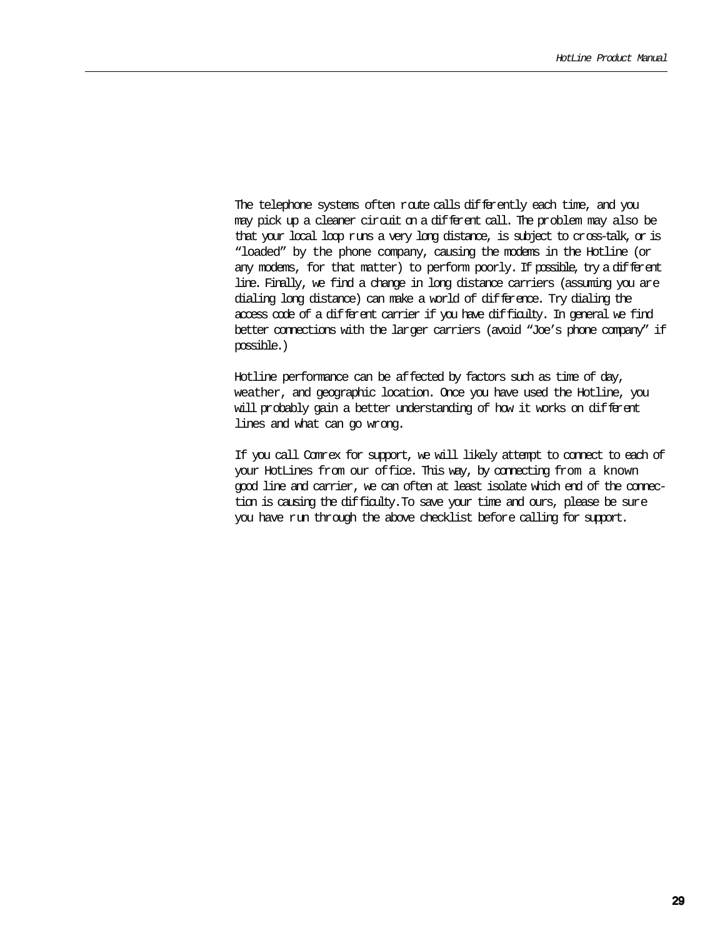The telephone systems often route calls differently each time, and you may pick up a cleaner circuit on a different call. The problem may also be that your local loop runs a very long distance, is subject to cross-talk, or is "loaded" by the phone company, causing the modems in the Hotline (or any modems, for that matter) to perform poorly. If possible, try a different line. Finally, we find a change in long distance carriers (assuming you are dialing long distance) can make a world of difference. Try dialing the access code of a different carrier if you have difficulty. In general we find better connections with the larger carriers (avoid "Joe's phone company" if possible.)

Hotline performance can be affected by factors such as time of day, weather, and geographic location. Once you have used the Hotline, you will probably gain a better understanding of how it works on different lines and what can go wrong.

If you call Comrex for support, we will likely attempt to connect to each of your HotLines from our office. This way, by connecting from a known good line and carrier, we can often at least isolate which end of the connection is causing the difficulty.To save your time and ours, please be sure you have run through the above checklist before calling for support.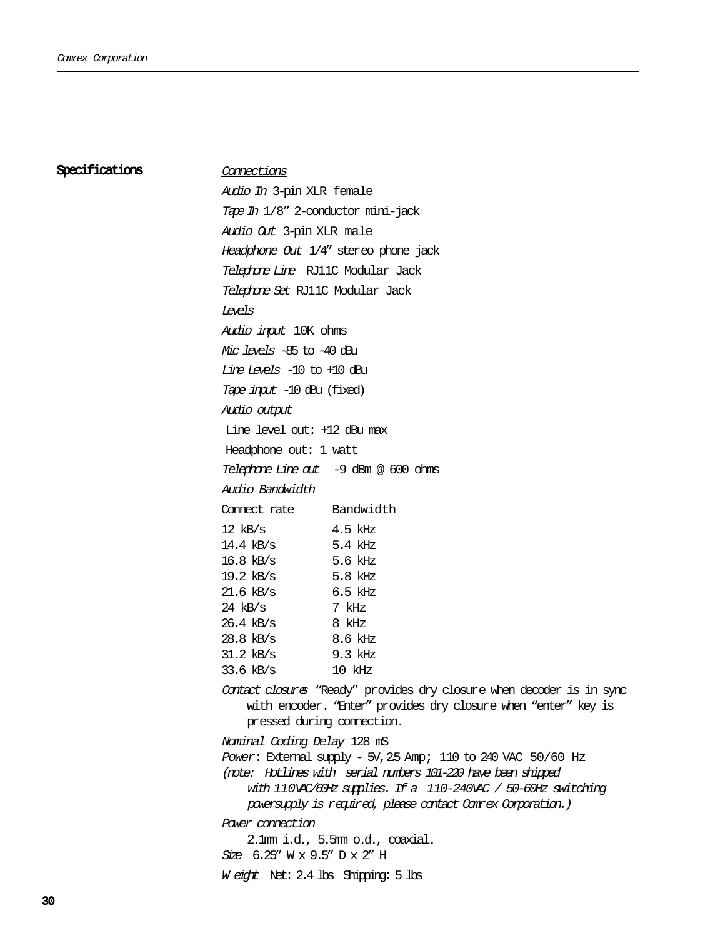#### Specifications

#### Connections

Audio In 3-pin XLR female Tape In 1/8" 2-conductor mini-jack Audio Out 3-pin XLR male Headphone Out 1/4" stereo phone jack Telephone Line RJ11C Modular Jack Telephone Set RJ11C Modular Jack Levels Audio input 10K ohms Mic levels -85 to -40 dBu Line Levels -10 to +10 dBu Tape input -10 dBu (fixed) Audio output Line level out: +12 dBu max Headphone out: 1 watt Telephone Line out -9 dBm @ 600 ohms Audio Bandwidth Connect rate Bandwidth  $12$  kB/s  $4.5$  kHz 14.4 kB/s 5.4 kHz 16.8 kB/s 5.6 kHz 19.2 kB/s 5.8 kHz 21.6 kB/s 6.5 kHz 24 kB/s 7 kHz 26.4 kB/s 8 kHz 28.8 kB/s 8.6 kHz 31.2 kB/s 9.3 kHz 33.6 kB/s 10 kHz

Contact closures "Ready" provides dry closure when decoder is in sync with encoder. "Enter" provides dry closure when "enter" key is pressed during connection.

Nominal Coding Delay 128 mS

Power: External supply - 5V,2.5 Amp; 110 to 240 VAC 50/60 Hz (note: Hotlines with serial numbers 101-220 have been shipped

with 110VAC/60Hz supplies. If a 110-240VAC / 50-60Hz switching

powersupply is required, please contact Comrex Corporation.)

Power connection

2.1mm i.d., 5.5mm o.d., coaxial.

Size 6.25" W x 9.5" D x 2" H

<sup>W</sup> eight Net: 2.4 lbs Shipping: 5 lbs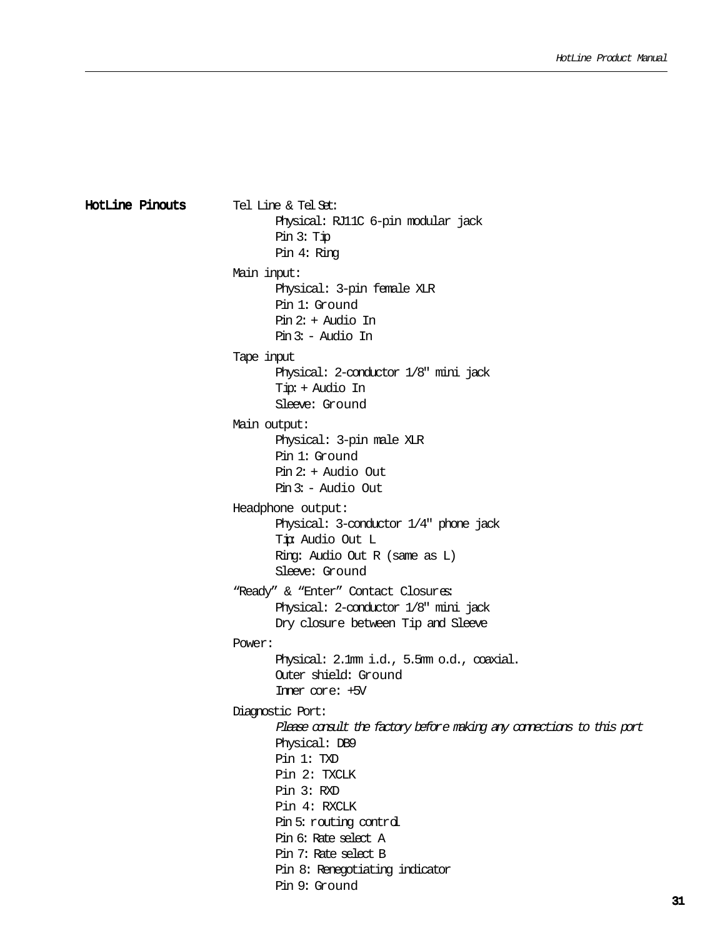```
Tel Line & Tel Set:
                                Physical: RJ11C 6-pin modular jack
                                Pin 3: Tip
                                Pin 4: Ring
                        Main input:
                                Physical: 3-pin female XLR
                                Pin 1: Ground
                                Pin 2: + Audio In
                                Pin 3: - Audio In
                        Tape input
                                Physical: 2-conductor 1/8" mini jack
                                Tip: + Audio In
                                Sleeve: Ground
                        Main output:
                                Physical: 3-pin male XLR
                                Pin 1: Ground
                                Pin 2: + Audio Out
                                Pin 3: - Audio Out
                        Headphone output:
                                Physical: 3-conductor 1/4" phone jack
                                Tip: Audio Out L
                                Ring: Audio Out R (same as L)
                                Sleeve: Ground
                         "Ready" & "Enter" Contact Closures:
                                Physical: 2-conductor 1/8" mini jack
                                Dry closure between Tip and Sleeve
                        Power:
                                Physical: 2.1mm i.d., 5.5mm o.d., coaxial.
                                Outer shield: Ground
                                Inner core: +5V
                        Diagnostic Port:
                                Please consult the factory before making any connections to this port
                                Physical: DB9
                                Pin 1: TXD
                                Pin 2: TXCLK
                                Pin 3: RXD
                                Pin 4: RXCLK
                                Pin 5: routing control
                                Pin 6: Rate select A
                                Pin 7: Rate select B
                                Pin 8: Renegotiating indicator
                                Pin 9: Ground
HotLine Pinouts
```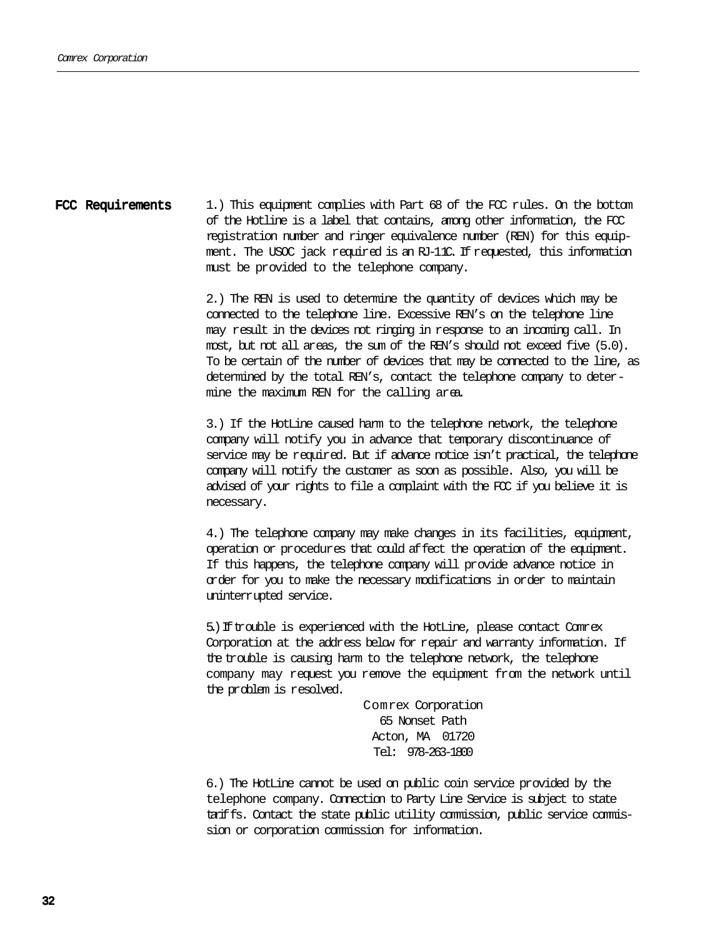1.) This equipment complies with Part 68 of the FCC rules. On the bottom of the Hotline is a label that contains, among other information, the FCC registration number and ringer equivalence number (REN) for this equipment. The USOC jack required is an RJ-11C. If requested, this information must be provided to the telephone company. FCC Requirements

> 2.) The REN is used to determine the quantity of devices which may be connected to the telephone line. Excessive REN's on the telephone line may result in the devices not ringing in response to an incoming call. In most, but not all areas, the sum of the REN's should not exceed five (5.0). To be certain of the number of devices that may be connected to the line, as determined by the total REN's, contact the telephone company to determine the maximum REN for the calling area.

> 3.) If the HotLine caused harm to the telephone network, the telephone company will notify you in advance that temporary discontinuance of service may be required. But if advance notice isn't practical, the telephone company will notify the customer as soon as possible. Also, you will be advised of your rights to file a complaint with the FCC if you believe it is necessary.

4.) The telephone company may make changes in its facilities, equipment, operation or procedures that could affect the operation of the equipment. If this happens, the telephone company will provide advance notice in order for you to make the necessary modifications in order to maintain uninterrupted service.

5.)Iftrouble is experienced with the HotLine, please contact Comrex Corporation at the address below for repair and warranty information. If the trouble is causing harm to the telephone network, the telephone company may request you remove the equipment from the network until the problem is resolved.

> Comrex Corporation 65 Nonset Path Acton, MA 01720 Tel: 978-263-1800

6.) The HotLine cannot be used on public coin service provided by the telephone company. Connection to Party Line Service is subject to state tariffs. Contact the state public utility commission, public service commission or corporation commission for information.